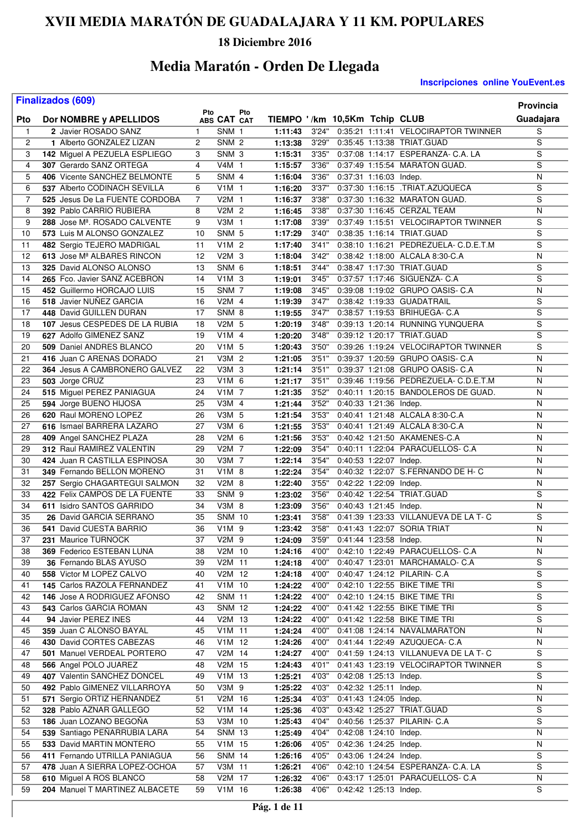### **18 Diciembre 2016**

## **Media Maratón - Orden De Llegada**

#### **Inscripciones online YouEvent.es**

|                | <b>Finalizados (609)</b>                            |              |                    |                               |                |                        |                        |                                                                | <b>Provincia</b>                 |
|----------------|-----------------------------------------------------|--------------|--------------------|-------------------------------|----------------|------------------------|------------------------|----------------------------------------------------------------|----------------------------------|
| Pto            | Dor NOMBRE y APELLIDOS                              | Pto          | Pto<br>ABS CAT CAT | TIEMPO '/km 10,5Km Tchip CLUB |                |                        |                        |                                                                | Guadajara                        |
| $\mathbf{1}$   | 2 Javier ROSADO SANZ                                | $\mathbf{1}$ | SNM 1              | 1:11:43                       | 3'24"          |                        |                        | 0:35:21 1:11:41 VELOCIRAPTOR TWINNER                           | $\overline{s}$                   |
| 2              | 1 Alberto GONZALEZ LIZAN                            | 2            | SNM <sub>2</sub>   | 1:13:38                       | 3'29"          |                        |                        | 0:35:45 1:13:38 TRIAT.GUAD                                     | $\overline{s}$                   |
| 3              | 142 Miguel A PEZUELA ESPLIEGO                       | 3            | SNM <sub>3</sub>   | 1:15:31                       | 3'35"          |                        |                        | 0:37:08 1:14:17 ESPERANZA- C.A. LA                             | $\overline{s}$                   |
| $\overline{4}$ | 307 Gerardo SANZ ORTEGA                             | 4            | $V4M$ 1            | 1:15:57                       | 3'36"          |                        |                        | 0:37:49 1:15:54 MARATON GUAD.                                  | S                                |
| 5              | 406 Vicente SANCHEZ BELMONTE                        | 5            | SNM 4              | 1:16:04                       | 3'36"          | 0:37:31 1:16:03 Indep. |                        |                                                                | N                                |
| 6              | 537 Alberto CODINACH SEVILLA                        | 6            | $V1M$ 1            | 1:16:20                       | 3'37"          |                        |                        | 0:37:30 1:16:15 .TRIAT.AZUQUECA                                | $\overline{s}$                   |
| $\overline{7}$ | 525 Jesus De La FUENTE CORDOBA                      | 7            | V2M 1              | 1:16:37                       | 3'38"          |                        |                        | 0:37:30 1:16:32 MARATON GUAD.                                  | $\overline{s}$                   |
| 8              | 392 Pablo CARRIO RUBIERA                            | 8            | V2M 2              | 1:16:45                       | 3'38"          |                        |                        | 0:37:30 1:16:45 CERZAL TEAM                                    | $\overline{\mathsf{N}}$          |
| 9              | 288 Jose M <sup>a</sup> . ROSADO CALVENTE           | 9            | V3M 1              | 1:17:08                       | 3'39"          |                        |                        | 0:37:49 1:15:51 VELOCIRAPTOR TWINNER                           | $\overline{s}$                   |
| 10             | 573 Luis M ALONSO GONZALEZ                          | 10           | SNM <sub>5</sub>   | 1:17:29                       | 3'40"          |                        |                        | 0:38:35 1:16:14 TRIAT.GUAD                                     | S                                |
| 11             | 482 Sergio TEJERO MADRIGAL                          | 11           | V1M 2              | 1:17:40                       | 3'41"          |                        |                        | 0:38:10 1:16:21 PEDREZUELA- C.D.E.T.M                          | $\overline{s}$                   |
| 12             | 613 Jose M <sup>ª</sup> ALBARES RINCON              | 12           | $V2M$ 3            | 1:18:04                       | 3'42"          |                        |                        | 0:38:42 1:18:00 ALCALA 8:30-C.A                                | N                                |
| 13             | 325 David ALONSO ALONSO                             | 13           | SNM <sub>6</sub>   | 1:18:51                       | 3'44"          |                        |                        | 0:38:47 1:17:30 TRIAT.GUAD                                     | $\mathbf S$                      |
| 14             | 265 Fco. Javier SANZ ACEBRON                        | 14           | V1M <sub>3</sub>   | 1:19:01                       | 3'45"          |                        |                        | 0:37:57 1:17:46 SIGUENZA- C.A                                  | S                                |
| 15             | 452 Guillermo HORCAJO LUIS                          | 15           | SNM <sub>7</sub>   | 1:19:08                       | 3'45"          |                        |                        | 0:39:08 1:19:02 GRUPO OASIS- C.A                               | N                                |
| 16             | 518 Javier NUÑEZ GARCIA                             | 16           | V2M 4              | 1:19:39                       | 3'47"          |                        |                        | 0:38:42 1:19:33 GUADATRAIL                                     | S                                |
| 17             | 448 David GUILLEN DURAN                             | 17           | SNM 8              | 1:19:55                       | 3'47"          |                        |                        | 0:38:57 1:19:53 BRIHUEGA- C.A                                  | $\overline{s}$                   |
| 18             | 107 Jesus CESPEDES DE LA RUBIA                      | 18           | $V2M$ 5            | 1:20:19                       | 3'48"          |                        |                        | 0:39:13 1:20:14 RUNNING YUNQUERA                               | $\overline{s}$                   |
| 19             | 627 Adolfo GIMENEZ SANZ                             | 19           | V1M 4              | 1:20:20                       | 3'48"          |                        |                        | 0:39:12 1:20:17 TRIAT.GUAD                                     | $\overline{s}$                   |
| 20             | 509 Daniel ANDRES BLANCO                            | 20           | V1M 5              | 1:20:43                       | 3'50"          |                        |                        | 0:39:26 1:19:24 VELOCIRAPTOR TWINNER                           | S                                |
| 21             | 416 Juan C ARENAS DORADO                            | 21           | V3M <sub>2</sub>   | 1:21:05                       | 3'51"          |                        |                        | 0:39:37 1:20:59 GRUPO OASIS- C.A                               | N                                |
| 22             | 364 Jesus A CAMBRONERO GALVEZ                       | 22           | V3M 3              | 1:21:14                       | 3'51"          |                        |                        | 0:39:37 1:21:08 GRUPO OASIS- C.A                               | N                                |
| 23             | 503 Jorge CRUZ                                      | 23           | V1M 6              | 1:21:17                       | 3'51"          |                        |                        | 0:39:46 1:19:56 PEDREZUELA- C.D.E.T.M                          | N                                |
| 24             | 515 Miguel PEREZ PANIAGUA                           | 24           | $V1M$ 7            | 1:21:35                       | 3'52"          |                        |                        | 0:40:11 1:20:15 BANDOLEROS DE GUAD.                            | N                                |
| 25             | 594 Jorge BUENO HIJOSA                              | 25           | V3M 4              | 1:21:44                       | 3'52"          | 0:40:33 1:21:36 Indep. |                        |                                                                | ${\sf N}$                        |
| 26             | 620 Raul MORENO LOPEZ                               | 26           | V3M 5              | 1:21:54                       | 3'53"          |                        |                        | 0:40:41 1:21:48 ALCALA 8:30-C.A                                | N                                |
| 27             | 616 Ismael BARRERA LAZARO                           | 27           | V3M 6              | 1:21:55                       | 3'53"          |                        |                        | 0:40:41 1:21:49 ALCALA 8:30-C.A                                | $\overline{N}$                   |
| 28             | 409 Angel SANCHEZ PLAZA                             | 28           | V2M 6              | 1:21:56                       | 3'53"          |                        |                        | 0:40:42 1:21:50 AKAMENES-C.A                                   | N                                |
| 29             | 312 Raul RAMIREZ VALENTIN                           | 29           | V2M 7              | 1:22:09                       | 3'54"          |                        |                        | 0:40:11 1:22:04 PARACUELLOS- C.A                               | N                                |
| 30             | 424 Juan R CASTILLA ESPINOSA                        | 30           | V3M 7              | 1:22:14                       | 3'54"          | 0:40:53 1:22:07 Indep. |                        |                                                                | $\overline{N}$                   |
| 31             | 349 Fernando BELLON MORENO                          | 31           | V1M 8              | 1:22:24                       | 3'54"          |                        |                        | 0:40:32 1:22:07 S.FERNANDO DE H- C                             | N                                |
| 32             | 257 Sergio CHAGARTEGUI SALMON                       | 32           | V2M 8              | 1:22:40                       | 3'55"          | 0:42:22 1:22:09 Indep. |                        |                                                                | N                                |
| 33             | 422 Felix CAMPOS DE LA FUENTE                       | 33           | SNM <sub>9</sub>   | 1:23:02                       | 3'56"          |                        |                        | 0:40:42 1:22:54 TRIAT.GUAD                                     | $\overline{s}$                   |
| 34             | 611 Isidro SANTOS GARRIDO                           | 34           | V3M 8              | 1:23:09                       | 3'56"          |                        | 0:40:43 1:21:45 Indep. |                                                                | N                                |
| 35             | 26 David GARCIA SERRANO                             | 35           | <b>SNM 10</b>      | 1:23:41                       | 3'58"          |                        |                        | 0:41:39 1:23:33 VILLANUEVA DE LA T- C                          | S                                |
| 36             | 541 David CUESTA BARRIO                             | 36           | V1M 9              | 1:23:42                       | 3'58"          |                        |                        | 0:41:43 1:22:07 SORIA TRIAT                                    | N                                |
| 37             | 231 Maurice TURNOCK                                 | 37           | V2M 9              | 1:24:09                       | 3'59"          | 0:41:44 1:23:58 Indep. |                        |                                                                | N                                |
| 38             | 369 Federico ESTEBAN LUNA                           | 38           | V2M 10             | 1:24:16                       | 4'00"          |                        |                        | 0:42:10 1:22:49 PARACUELLOS- C.A                               | N                                |
| 39             | 36 Fernando BLAS AYUSO                              | 39           | V2M 11             | 1:24:18                       | 4'00"          |                        |                        | 0:40:47 1:23:01 MARCHAMALO- C.A                                | S                                |
| 40             | 558 Victor M LOPEZ CALVO                            | 40           | V2M 12             | 1:24:18                       | 4'00"          |                        |                        | 0:40:47 1:24:12 PILARIN- C.A                                   | S                                |
| 41             | 145 Carlos RAZOLA FERNANDEZ                         | 41           | V1M 10             | 1:24:22                       | 4'00"          |                        |                        | 0:42:10 1:22:55 BIKE TIME TRI                                  | S                                |
| 42             | 146 Jose A RODRIGUEZ AFONSO                         | 42           | <b>SNM 11</b>      | 1:24:22                       | 4'00"          |                        |                        | 0:42:10 1:24:15 BIKE TIME TRI                                  | $\overline{s}$<br>$\overline{s}$ |
| 43             | 543 Carlos GARCIA ROMAN                             | 43           | <b>SNM 12</b>      | 1:24:22                       | 4'00"          |                        |                        | 0:41:42 1:22:55 BIKE TIME TRI<br>0:41:42 1:22:58 BIKE TIME TRI | S                                |
| 44             | 94 Javier PEREZ INES                                | 44           | V2M 13             | 1:24:22                       | 4'00"          |                        |                        |                                                                | ${\sf N}$                        |
| 45<br>46       | 359 Juan C ALONSO BAYAL<br>430 David CORTES CABEZAS | 45           | V1M 11<br>V1M 12   | 1:24:24                       | 4'00"<br>4'00" |                        |                        | 0:41:08 1:24:14 NAVALMARATON<br>0:41:44 1:22:49 AZUQUECA- C.A  | N                                |
| 47             | 501 Manuel VERDEAL PORTERO                          | 46<br>47     | V2M 14             | 1:24:26                       | 4'00"          |                        |                        | 0:41:59 1:24:13 VILLANUEVA DE LA T-C                           | S                                |
| 48             | 566 Angel POLO JUAREZ                               | 48           | V2M 15             | 1:24:27<br>1:24:43            | 4'01"          |                        |                        | 0:41:43 1:23:19 VELOCIRAPTOR TWINNER                           | S                                |
| 49             | 407 Valentin SANCHEZ DONCEL                         | 49           | V1M 13             | 1:25:21                       | 4'03"          | 0:42:08 1:25:13 Indep. |                        |                                                                | S                                |
| 50             | 492 Pablo GIMENEZ VILLARROYA                        | 50           | V3M 9              | 1:25:22                       | 4'03"          | 0:42:32 1:25:11 Indep. |                        |                                                                | N                                |
| 51             | 571 Sergio ORTIZ HERNANDEZ                          | 51           | V2M 16             | 1:25:34                       | 4'03"          | 0:41:43 1:24:05 Indep. |                        |                                                                | N                                |
| 52             | 328 Pablo AZNAR GALLEGO                             | 52           | V1M 14             | 1:25:36                       | 4'03"          |                        |                        | 0:43:42 1:25:27 TRIAT.GUAD                                     | S                                |
| 53             | 186 Juan LOZANO BEGOÑA                              | 53           | V3M 10             | 1:25:43                       | 4'04"          |                        |                        | 0:40:56 1:25:37 PILARIN- C.A                                   | S                                |
| 54             | 539 Santiago PEÑARRUBIA LARA                        | 54           | <b>SNM 13</b>      | 1:25:49                       | 4'04"          | 0:42:08 1:24:10 Indep. |                        |                                                                | N                                |
| 55             | 533 David MARTIN MONTERO                            | 55           | V1M 15             | 1:26:06                       | 4'05"          | 0:42:36 1:24:25 Indep. |                        |                                                                | N                                |
| 56             | 411 Fernando UTRILLA PANIAGUA                       | 56           | <b>SNM 14</b>      | 1:26:16                       | 4'05"          | 0:43:06 1:24:24 Indep. |                        |                                                                | S                                |
| 57             | 478 Juan A SIERRA LOPEZ-OCHOA                       | 57           | V3M 11             | 1:26:21                       | 4'06"          |                        |                        | 0:42:10 1:24:54 ESPERANZA- C.A. LA                             | S                                |
| 58             | 610 Miguel A ROS BLANCO                             | 58           | V2M 17             | 1:26:32                       | 4'06"          |                        |                        | 0:43:17 1:25:01 PARACUELLOS- C.A                               | N                                |
| 59             | 204 Manuel T MARTINEZ ALBACETE                      | 59           | V1M 16             | 1:26:38                       | 4'06"          | 0:42:42 1:25:13 Indep. |                        |                                                                | S                                |
|                |                                                     |              |                    |                               |                |                        |                        |                                                                |                                  |

 $\overline{\phantom{a}}$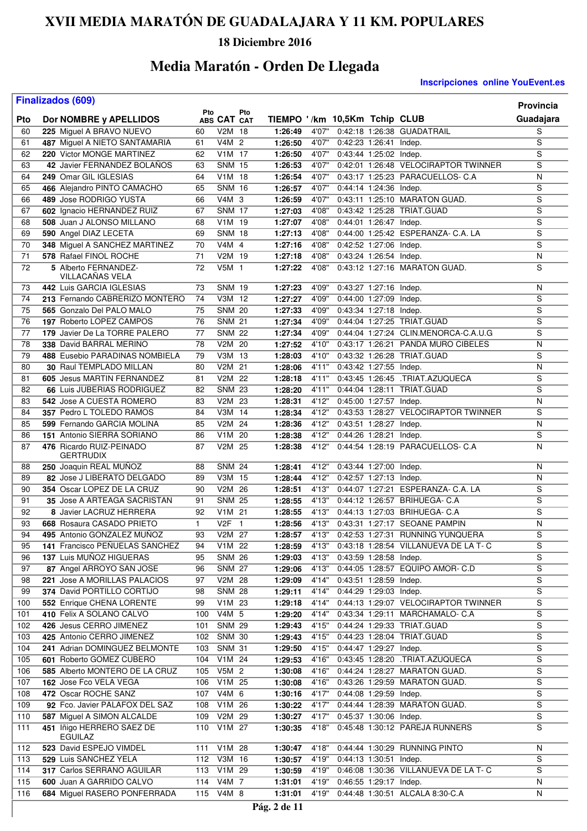### **18 Diciembre 2016**

# **Media Maratón - Orden De Llegada**

|     | <b>Finalizados (609)</b>                    | Pto          |                  | Pto            |                               |        |                        |                                            | Provincia      |
|-----|---------------------------------------------|--------------|------------------|----------------|-------------------------------|--------|------------------------|--------------------------------------------|----------------|
| Pto | Dor NOMBRE y APELLIDOS                      |              | ABS CAT CAT      |                | TIEMPO '/km 10,5Km Tchip CLUB |        |                        |                                            | Guadajara      |
| 60  | 225 Miguel A BRAVO NUEVO                    | 60           | V2M 18           |                | 1:26:49                       | 4'07"  |                        | 0:42:18 1:26:38 GUADATRAIL                 | S              |
| 61  | 487 Miguel A NIETO SANTAMARIA               | 61           | V4M 2            |                | 1:26:50                       | 4'07"  | 0:42:23 1:26:41 Indep. |                                            | S              |
| 62  | 220 Victor MONGE MARTINEZ                   | 62           | V1M 17           |                | 1:26:50                       | 4'07'' | 0:43:44 1:25:02 Indep. |                                            | S              |
| 63  | 42 Javier FERNANDEZ BOLANOS                 | 63           | <b>SNM 15</b>    |                | 1:26:53                       | 4'07"  |                        | 0:42:01 1:26:48 VELOCIRAPTOR TWINNER       | S              |
| 64  | 249 Omar GIL IGLESIAS                       | 64           | V1M 18           |                | 1:26:54                       | 4'07"  |                        | 0:43:17 1:25:23 PARACUELLOS- C.A           | N              |
| 65  | 466 Alejandro PINTO CAMACHO                 | 65           | <b>SNM 16</b>    |                | 1:26:57                       | 4'07"  | 0:44:14 1:24:36 Indep. |                                            | S              |
| 66  | 489 Jose RODRIGO YUSTA                      | 66           | V4M 3            |                | 1:26:59                       | 4'07"  |                        | 0:43:11 1:25:10 MARATON GUAD.              | S              |
| 67  | 602 Ignacio HERNANDEZ RUIZ                  | 67           | <b>SNM 17</b>    |                | 1:27:03                       | 4'08"  |                        | 0:43:42 1:25:28 TRIAT.GUAD                 | $\overline{s}$ |
| 68  | 508 Juan J ALONSO MILLANO                   | 68           | V1M 19           |                | 1:27:07                       | 4'08"  | 0:44:01 1:26:47 Indep. |                                            | $\overline{s}$ |
| 69  | 590 Angel DIAZ LECETA                       | 69           | <b>SNM 18</b>    |                | 1:27:13                       | 4'08"  |                        | 0:44:00 1:25:42 ESPERANZA- C.A. LA         | S              |
| 70  | 348 Miguel A SANCHEZ MARTINEZ               | 70           | V4M 4            |                | 1:27:16                       | 4'08"  | 0:42:52 1:27:06 Indep. |                                            | $\overline{s}$ |
| 71  | 578 Rafael FINOL ROCHE                      | 71           | V2M 19           |                | 1:27:18                       | 4'08"  | 0:43:24 1:26:54 Indep. |                                            | N              |
| 72  | 5 Alberto FERNANDEZ-<br>VILLACANAS VELA     | 72           | V5M 1            |                | 1:27:22                       | 4'08"  |                        | 0:43:12 1:27:16 MARATON GUAD.              | S              |
| 73  | 442 Luis GARCIA IGLESIAS                    | 73           | <b>SNM 19</b>    |                | 1:27:23                       | 4'09"  | 0:43:27 1:27:16 Indep. |                                            | N              |
| 74  | 213 Fernando CABRERIZO MONTERO              | 74           | V3M 12           |                | 1:27:27                       | 4'09"  | 0:44:00 1:27:09 Indep. |                                            | S              |
| 75  | 565 Gonzalo Del PALO MALO                   | 75           | <b>SNM 20</b>    |                | 1:27:33                       | 4'09"  | 0:43:34 1:27:18 Indep. |                                            | S              |
| 76  | 197 Roberto LOPEZ CAMPOS                    | 76           | <b>SNM 21</b>    |                | 1:27:34                       | 4'09"  |                        | 0:44:04 1:27:25 TRIAT.GUAD                 | $\overline{s}$ |
| 77  | 179 Javier De La TORRE PALERO               | 77           | <b>SNM 22</b>    |                | 1:27:34                       | 4'09"  |                        | 0:44:04 1:27:24 CLIN.MENORCA-C.A.U.G       | S              |
| 78  | 338 David BARRAL MERINO                     | 78           | V2M 20           |                | 1:27:52                       | 4'10"  |                        | 0:43:17 1:26:21 PANDA MURO CIBELES         | N              |
| 79  | 488 Eusebio PARADINAS NOMBIELA              | 79           | V3M 13           |                | 1:28:03                       | 4'10"  |                        | 0:43:32 1:26:28 TRIAT.GUAD                 | S              |
| 80  | 30 Raul TEMPLADO MILLAN                     | 80           | V2M 21           |                | 1:28:06                       | 4'11"  | 0:43:42 1:27:55 Indep. |                                            | N              |
| 81  | 605 Jesus MARTIN FERNANDEZ                  | 81           | V2M 22           |                | 1:28:18                       | 4'11"  |                        | 0:43:45 1:26:45 .TRIAT.AZUQUECA            | S              |
| 82  | 66 Luis JUBERIAS RODRIGUEZ                  | 82           | <b>SNM 23</b>    |                | 1:28:20                       | 4'11"  |                        | 0:44:04 1:28:11 TRIAT.GUAD                 | S              |
| 83  | 542 Jose A CUESTA ROMERO                    | 83           | V2M 23           |                | 1:28:31                       | 4'12"  | 0:45:00 1:27:57 Indep. |                                            | N              |
| 84  | 357 Pedro L TOLEDO RAMOS                    | 84           | V3M 14           |                | 1:28:34                       | 4'12"  |                        | 0:43:53 1:28:27 VELOCIRAPTOR TWINNER       | S              |
| 85  | 599 Fernando GARCIA MOLINA                  | 85           | V2M 24           |                | 1:28:36                       | 4'12"  | 0:43:51 1:28:27 Indep. |                                            | N              |
| 86  | 151 Antonio SIERRA SORIANO                  | 86           | V1M 20           |                | 1:28:38                       | 4'12"  | 0:44:26 1:28:21 Indep. |                                            | S              |
| 87  | 476 Ricardo RUIZ-PEINADO<br>GERTRUDIX       | 87           | V2M 25           |                | 1:28:38                       |        |                        | 4'12" 0:44:54 1:28:19 PARACUELLOS- C.A     | N              |
| 88  | 250 Joaquin REAL MUÑOZ                      | 88           | <b>SNM 24</b>    |                | 1:28:41                       | 4'12"  | 0:43:44 1:27:00 Indep. |                                            | N              |
| 89  | 82 Jose J LIBERATO DELGADO                  | 89           | V3M 15           |                | 1:28:44                       | 4'12"  | 0:42:57 1:27:13 Indep. |                                            | N              |
| 90  | 354 Oscar LOPEZ DE LA CRUZ                  | 90           | V2M 26           |                | 1:28:51                       | 4'13"  |                        | 0:44:07 1:27:21 ESPERANZA- C.A. LA         | S              |
| 91  | <b>35 Jose A ARTEAGA SACRISTAN</b>          | 91           | <b>SNM 25</b>    |                | 1:28:55                       | 4'13"  |                        | 0:44:12 1:26:57 BRIHUEGA- C.A              | $\overline{s}$ |
| 92  | 8 Javier LACRUZ HERRERA                     | 92           | V1M 21           |                | 1:28:55                       | 4'13"  |                        | 0:44:13 1:27:03 BRIHUEGA- C.A              | S              |
| 93  | 668 Rosaura CASADO PRIETO                   | $\mathbf{1}$ | V <sub>2</sub> F | $\overline{1}$ | 1:28:56                       | 4'13"  |                        | 0:43:31 1:27:17 SEOANE PAMPIN              | N              |
| 94  | 495 Antonio GONZALEZ MUNOZ                  | 93           | V2M 27           |                | 1:28:57                       | 4'13"  |                        | 0:42:53 1:27:31 RUNNING YUNQUERA           | S              |
| 95  | 141 Francisco PEÑUELAS SANCHEZ              | 94           | V1M 22           |                | 1:28:59                       |        |                        | 4'13" 0:43:18 1:28:54 VILLANUEVA DE LA T-C | S              |
| 96  | 137 Luis MUÑOZ HIGUERAS                     | 95           | <b>SNM 26</b>    |                | 1:29:03                       | 4'13"  | 0:43:59 1:28:58 Indep. |                                            | $\overline{s}$ |
| 97  | 87 Angel ARROYO SAN JOSE                    | 96           | <b>SNM 27</b>    |                | 1:29:06                       | 4'13"  |                        | 0:44:05 1:28:57 EQUIPO AMOR- C.D           | S              |
| 98  | 221 Jose A MORILLAS PALACIOS                | 97           | V2M 28           |                | 1:29:09                       | 4'14"  | 0:43:51 1:28:59 Indep. |                                            | S              |
| 99  | 374 David PORTILLO CORTIJO                  | 98           | <b>SNM 28</b>    |                | 1:29:11                       | 4'14"  | 0:44:29 1:29:03 Indep. |                                            | S              |
| 100 | 552 Enrique CHENA LORENTE                   | 99           | $V1M$ 23         |                | 1:29:18                       | 4'14"  |                        | 0:44:13 1:29:07 VELOCIRAPTOR TWINNER       | S              |
| 101 | 410 Felix A SOLANO CALVO                    | 100          | V4M 5            |                | 1:29:20                       | 4'14"  |                        | 0:43:34 1:29:11 MARCHAMALO- C.A            | S              |
| 102 | 426 Jesus CERRO JIMENEZ                     | 101          | <b>SNM 29</b>    |                | 1:29:43                       | 4'15"  |                        | 0:44:24 1:29:33 TRIAT.GUAD                 | S              |
| 103 | 425 Antonio CERRO JIMENEZ                   | 102          | <b>SNM 30</b>    |                | 1:29:43                       | 4'15"  |                        | 0:44:23 1:28:04 TRIAT.GUAD                 | S              |
| 104 | 241 Adrian DOMINGUEZ BELMONTE               | 103          | <b>SNM 31</b>    |                | 1:29:50                       | 4'15"  | 0:44:47 1:29:27 Indep. |                                            | S              |
| 105 | 601 Roberto GOMEZ CUBERO                    | 104          | V1M 24           |                | 1:29:53                       | 4'16"  |                        | 0:43:45 1:28:20 .TRIAT.AZUQUECA            | S              |
| 106 | 585 Alberto MONTERO DE LA CRUZ              | 105          | V5M <sub>2</sub> |                | 1:30:08                       | 4'16"  |                        | 0:44:24 1:28:27 MARATON GUAD.              | $\overline{s}$ |
| 107 | 162 Jose Fco VELA VEGA                      | 106          | V1M 25           |                | 1:30:08                       | 4'16"  |                        | 0:43:26 1:29:59 MARATON GUAD.              | S              |
| 108 | 472 Oscar ROCHE SANZ                        | 107          | V4M 6            |                | 1:30:16                       | 4'17"  | 0:44:08 1:29:59 Indep. |                                            | $\overline{s}$ |
| 109 | 92 Fco. Javier PALAFOX DEL SAZ              | 108          | V1M 26           |                | 1:30:22                       | 4'17"  |                        | 0:44:44 1:28:39 MARATON GUAD.              | S              |
| 110 | 587 Miguel A SIMON ALCALDE                  | 109          | V2M 29           |                | 1:30:27                       | 4'17"  | 0:45:37 1:30:06 Indep. |                                            | S              |
| 111 | 451 Iñigo HERRERO SAEZ DE<br><b>EGUILAZ</b> | 110          | V1M 27           |                | 1:30:35                       | 4'18"  |                        | 0:45:48 1:30:12 PAREJA RUNNERS             | S              |
| 112 | 523 David ESPEJO VIMDEL                     | 111          | V1M 28           |                | 1:30:47                       | 4'18"  |                        | 0:44:44 1:30:29 RUNNING PINTO              | N              |
| 113 | 529 Luis SANCHEZ YELA                       |              | 112 V3M 16       |                | 1:30:57                       | 4'19"  | 0:44:13 1:30:51 Indep. |                                            | S              |
| 114 | 317 Carlos SERRANO AGUILAR                  | 113          | V1M 29           |                | 1:30:59                       | 4'19"  |                        | 0:46:08 1:30:36 VILLANUEVA DE LA T-C       | S              |
| 115 | 600 Juan A GARRIDO CALVO                    | 114          | V4M 7            |                | 1:31:01                       | 4'19"  | 0:46:55 1:29:17 Indep. |                                            | N              |
| 116 | 684 Miguel RASERO PONFERRADA                |              | 115 V4M 8        |                | 1:31:01                       | 4'19"  |                        | 0:44:48 1:30:51 ALCALA 8:30-C.A            | N              |
|     |                                             |              |                  |                |                               |        |                        |                                            |                |
|     |                                             |              |                  |                | Pág. 2 de 11                  |        |                        |                                            |                |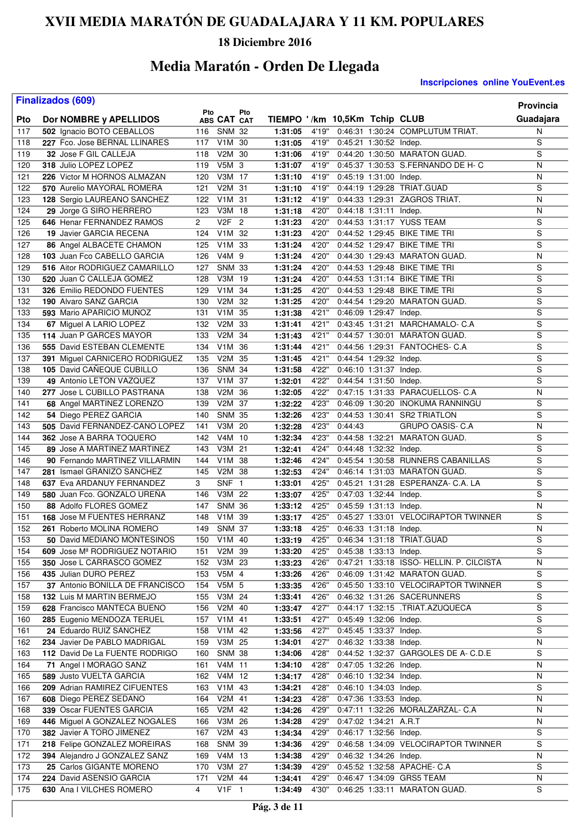### **18 Diciembre 2016**

## **Media Maratón - Orden De Llegada**

|            | <b>Finalizados (609)</b>                                     |            |                     |                |                               |                |                        |                        |                                                                     | <b>Provincia</b> |
|------------|--------------------------------------------------------------|------------|---------------------|----------------|-------------------------------|----------------|------------------------|------------------------|---------------------------------------------------------------------|------------------|
| Pto        | Dor NOMBRE y APELLIDOS                                       | Pto        | ABS CAT CAT         | Pto            | TIEMPO '/km 10,5Km Tchip CLUB |                |                        |                        |                                                                     | Guadajara        |
| 117        | 502 Ignacio BOTO CEBALLOS                                    | 116        | SNM 32              |                | 1:31:05                       | 4'19"          |                        |                        | 0:46:31 1:30:24 COMPLUTUM TRIAT.                                    | N                |
| 118        | 227 Fco. Jose BERNAL LLINARES                                | 117        | V1M 30              |                | 1:31:05                       | 4'19"          | 0:45:21 1:30:52 Indep. |                        |                                                                     | $\overline{s}$   |
| 119        | 32 Jose F GIL CALLEJA                                        | 118        | V2M 30              |                | 1:31:06                       | 4'19"          |                        |                        | 0:44:20 1:30:50 MARATON GUAD.                                       | $\overline{s}$   |
| 120        | 318 Julio LOPEZ LOPEZ                                        | 119        | V5M 3               |                | 1:31:07                       | 4'19"          |                        |                        | 0:45:37 1:30:53 S.FERNANDO DE H- C                                  | N                |
| 121        | 226 Victor M HORNOS ALMAZAN                                  | 120        | V3M 17              |                | 1:31:10                       | 4'19"          | 0:45:19 1:31:00 Indep. |                        |                                                                     | N                |
| 122        | 570 Aurelio MAYORAL ROMERA                                   | 121        | V2M 31              |                | 1:31:10                       | 4'19"          |                        |                        | 0:44:19 1:29:28 TRIAT.GUAD                                          | S                |
| 123        | 128 Sergio LAUREANO SANCHEZ                                  | 122        | V1M 31              |                | 1:31:12                       | 4'19"          |                        |                        | 0:44:33 1:29:31 ZAGROS TRIAT.                                       | N                |
| 124        | 29 Jorge G SIRO HERRERO                                      | 123        | V3M 18              |                | 1:31:18                       | 4'20"          | 0:44:18 1:31:11 Indep. |                        |                                                                     | $\overline{N}$   |
| 125        | 646 Henar FERNANDEZ RAMOS                                    | 2          | V2F                 | $\overline{2}$ | 1:31:23                       | 4'20"          |                        |                        | 0:44:53 1:31:17 YUSS TEAM                                           | $\overline{s}$   |
| 126        | 19 Javier GARCIA RECENA                                      | 124        | V1M 32              |                | 1:31:23                       | 4'20"          |                        |                        | 0:44:52 1:29:45 BIKE TIME TRI                                       | S                |
| 127        | 86 Angel ALBACETE CHAMON                                     | 125        | V1M 33              |                | 1:31:24                       | 4'20"          |                        |                        | 0:44:52 1:29:47 BIKE TIME TRI                                       | $\overline{s}$   |
| 128        | 103 Juan Fco CABELLO GARCIA                                  | 126        | V4M 9               |                | 1:31:24                       | 4'20"          |                        |                        | 0:44:30 1:29:43 MARATON GUAD.                                       | N                |
| 129        | 516 Aitor RODRIGUEZ CAMARILLO                                | 127        | <b>SNM 33</b>       |                | 1:31:24                       | 4'20"          |                        |                        | 0:44:53 1:29:48 BIKE TIME TRI                                       | S                |
| 130        | 520 Juan C CALLEJA GOMEZ                                     | 128        | V3M 19              |                | 1:31:24                       | 4'20"          |                        |                        | 0:44:53 1:31:14 BIKE TIME TRI                                       | S                |
| 131        | 326 Emilio REDONDO FUENTES                                   | 129        | V1M 34              |                | 1:31:25                       | 4'20"          |                        |                        | 0:44:53 1:29:48 BIKE TIME TRI                                       | $\overline{s}$   |
| 132        | 190 Alvaro SANZ GARCIA                                       | 130        | V2M 32              |                | 1:31:25                       | 4'20"          |                        |                        | 0:44:54 1:29:20 MARATON GUAD.                                       | S                |
| 133        | 593 Mario APARICIO MUNOZ                                     | 131        | V1M 35              |                | 1:31:38                       | 4'21"          | 0:46:09 1:29:47 Indep. |                        |                                                                     | $\overline{s}$   |
| 134        | 67 Miguel A LARIO LOPEZ                                      | 132        | V2M 33              |                | 1:31:41                       | 4'21"          |                        |                        | 0:43:45 1:31:21 MARCHAMALO- C.A                                     | $\overline{s}$   |
| 135        | 114 Juan P GARCES MAYOR                                      | 133        | V2M 34              |                | 1:31:43                       | 4'21"          |                        |                        | 0:44:57 1:30:01 MARATON GUAD.                                       | S                |
| 136        | 555 David ESTEBAN CLEMENTE                                   | 134        | V1M 36              |                | 1:31:44                       | 4'21"          |                        |                        | 0:44:56 1:29:31 FANTOCHES- C.A                                      | S                |
| 137        | 391 Miguel CARNICERO RODRIGUEZ                               | 135        | V2M 35              |                | 1:31:45                       | 4'21"          | 0:44:54 1:29:32 Indep. |                        |                                                                     | $\overline{s}$   |
| 138        | 105 David CAÑEQUE CUBILLO                                    | 136        | <b>SNM 34</b>       |                | 1:31:58                       | 4'22"          | 0:46:10 1:31:37 Indep. |                        |                                                                     | S                |
| 139        | 49 Antonio LETON VAZQUEZ                                     | 137        | V1M 37              |                | 1:32:01                       | 4'22"          | 0:44:54 1:31:50 Indep. |                        |                                                                     | $\overline{s}$   |
| 140        | 277 Jose L CUBILLO PASTRANA                                  | 138        | V2M                 | 36             | 1:32:05                       | 4'22"          |                        |                        | 0:47:15 1:31:33 PARACUELLOS- C.A                                    | N                |
| 141        | 68 Angel MARTINEZ LORENZO                                    | 139        | V2M                 | 37             | 1:32:22                       | 4'23"          |                        |                        | 0:46:09 1:30:20 INOKUMA RANNINGU                                    | S                |
| 142        | 54 Diego PEREZ GARCIA                                        | 140        | <b>SNM 35</b>       |                | 1:32:26                       | 4'23"          |                        |                        | 0:44:53 1:30:41 SR2 TRIATLON                                        | S                |
| 143        | 505 David FERNANDEZ-CANO LOPEZ                               | 141        | V3M 20              |                | 1:32:28                       | 4'23"          | 0:44:43                |                        | <b>GRUPO OASIS- C.A</b>                                             | N                |
| 144        | <b>362</b> Jose A BARRA TOQUERO                              | 142        | V4M 10              |                | 1:32:34                       | 4'23"          |                        |                        | 0:44:58 1:32:21 MARATON GUAD.                                       | S                |
| 145        | 89 Jose A MARTINEZ MARTINEZ                                  | 143        | V3M $\overline{21}$ |                | 1:32:41                       | 4'24"          | 0:44:48 1:32:32 Indep. |                        |                                                                     | S                |
| 146        | 90 Fernando MARTINEZ VILLARMIN                               | 144        | V <sub>1</sub> M    | 38             | 1:32:46                       | 4'24"          |                        |                        | 0:45:54 1:30:58 RUNNERS CABANILLAS                                  | $\overline{s}$   |
| 147        | 281 Ismael GRANIZO SANCHEZ                                   | 145        | V2M 38              |                | 1:32:53                       | 4'24"          |                        |                        | 0:46:14 1:31:03 MARATON GUAD.                                       | S                |
| 148        | 637 Eva ARDANUY FERNANDEZ                                    | 3          | SNF 1               |                | 1:33:01                       | 4'25"          |                        |                        | 0:45:21 1:31:28 ESPERANZA- C.A. LA                                  | S                |
| 149        | 580 Juan Fco. GONZALO UREÑA                                  | 146        | V3M 22              |                | 1:33:07                       | 4'25"          | 0:47:03 1:32:44 Indep. |                        |                                                                     | $\overline{s}$   |
| 150        | 88 Adolfo FLORES GOMEZ                                       | 147        | <b>SNM 36</b>       |                | 1:33:12                       | 4'25"          |                        | 0:45:59 1:31:13 Indep. |                                                                     | N                |
| 151        | <b>168 Jose M FUENTES HERRANZ</b>                            | 148        | V <sub>1</sub> M 39 |                | 1:33:17                       | 4'25"          |                        |                        | 0:45:27 1:33:01 VELOCIRAPTOR TWINNER                                | S                |
| 152        | 261 Roberto MOLINA ROMERO                                    | 149        | <b>SNM 37</b>       |                | 1:33:18                       | 4'25"          | 0:46:33 1:31:18 Indep. |                        |                                                                     | N                |
| 153        | 50 David MEDIANO MONTESINOS                                  | 150        | V1M 40              |                | 1:33:19                       | 4'25"          |                        |                        | 0:46:34 1:31:18 TRIAT.GUAD                                          | S                |
| 154        | 609 Jose M <sup>ª</sup> RODRIGUEZ NOTARIO                    | 151        | V2M 39<br>V3M 23    |                | 1:33:20                       | 4'25"          | 0:45:38 1:33:13 Indep. |                        |                                                                     | S                |
| 155        | 350 Jose L CARRASCO GOMEZ                                    | 152        |                     |                | 1:33:23                       | 4'26"          |                        |                        | 0:47:21 1:33:18 ISSO- HELLIN. P. CILCISTA                           | N<br>$\mathbf S$ |
| 156        | 435 Julian DURO PEREZ                                        | 153        | V5M 4               |                | 1:33:26                       | 4'26"          |                        |                        | 0:46:09 1:31:42 MARATON GUAD.                                       | S                |
| 157<br>158 | 37 Antonio BONILLA DE FRANCISCO<br>132 Luis M MARTIN BERMEJO | 154<br>155 | V5M 5<br>V3M 24     |                | 1:33:35<br>1:33:41            | 4'26"<br>4'26" |                        |                        | 0:45:50 1:33:10 VELOCIRAPTOR TWINNER<br>0:46:32 1:31:26 SACERUNNERS | S                |
| 159        | 628 Francisco MANTECA BUENO                                  |            | V2M 40              |                | 1:33:47                       | 4'27"          |                        |                        | 0:44:17 1:32:15 .TRIAT.AZUQUECA                                     | S                |
| 160        | 285 Eugenio MENDOZA TERUEL                                   | 156<br>157 | V1M 41              |                | 1:33:51                       | 4'27"          | 0:45:49 1:32:06 Indep. |                        |                                                                     | S                |
| 161        | 24 Eduardo RUIZ SANCHEZ                                      | 158        | V1M 42              |                | 1:33:56                       | 4'27"          | 0:45:45 1:33:37 Indep. |                        |                                                                     | S                |
| 162        | 234 Javier De PABLO MADRIGAL                                 | 159        | V3M 25              |                | 1:34:01                       | 4'27"          | 0:46:32 1:33:38 Indep. |                        |                                                                     | ${\sf N}$        |
| 163        | 112 David De La FUENTE RODRIGO                               | 160        | <b>SNM 38</b>       |                | 1:34:06                       | 4'28"          |                        |                        | 0:44:52 1:32:37 GARGOLES DE A-C.D.E                                 | S                |
| 164        | 71 Angel I MORAGO SANZ                                       | 161        | V4M 11              |                | 1:34:10                       | 4'28"          | 0:47:05 1:32:26 Indep. |                        |                                                                     | N                |
| 165        | 589 Justo VUELTA GARCIA                                      | 162        | V4M 12              |                | 1:34:17                       | 4'28"          |                        | 0:46:10 1:32:34 Indep. |                                                                     | N                |
| 166        | 209 Adrian RAMIREZ CIFUENTES                                 | 163        | V1M 43              |                | 1:34:21                       | 4'28"          | 0:46:10 1:34:03 Indep. |                        |                                                                     | S                |
| 167        | 608 Diego PEREZ SEDANO                                       | 164        | V2M 41              |                | 1:34:23                       | 4'28"          |                        | 0:47:36 1:33:53 Indep. |                                                                     | N                |
| 168        | 339 Oscar FUENTES GARCIA                                     | 165        | V2M 42              |                | 1:34:26                       | 4'29"          |                        |                        | 0:47:11 1:32:26 MORALZARZAL- C.A                                    | N                |
| 169        | 446 Miguel A GONZALEZ NOGALES                                | 166        | V3M 26              |                | 1:34:28                       | 4'29"          | 0:47:02 1:34:21 A.R.T  |                        |                                                                     | N                |
| 170        | 382 Javier A TORO JIMENEZ                                    | 167        | V2M 43              |                | 1:34:34                       | 4'29"          | 0:46:17 1:32:56 Indep. |                        |                                                                     | S                |
| 171        | 218 Felipe GONZALEZ MOREIRAS                                 | 168        | <b>SNM 39</b>       |                | 1:34:36                       | 4'29"          |                        |                        | 0:46:58 1:34:09 VELOCIRAPTOR TWINNER                                | S                |
| 172        | 394 Alejandro J GONZALEZ SANZ                                |            | 169 V4M 13          |                | 1:34:38                       | 4'29"          | 0:46:32 1:34:26 Indep. |                        |                                                                     | N                |
| 173        | 25 Carlos GIGANTE MORENO                                     | 170        | V3M 27              |                | 1:34:39                       | 4'29"          |                        |                        | 0:45:52 1:32:58 APACHE- C.A                                         | ${\mathsf S}$    |
| 174        | 224 David ASENSIO GARCIA                                     | 171        | V2M 44              |                | 1:34:41                       | 4'29"          |                        |                        | 0:46:47 1:34:09 GRS5 TEAM                                           | N                |
| 175        | 630 Ana I VILCHES ROMERO                                     | 4          | $V1F$ 1             |                | 1:34:49                       | 4'30"          |                        |                        | 0:46:25 1:33:11 MARATON GUAD.                                       | S                |
|            |                                                              |            |                     |                |                               |                |                        |                        |                                                                     |                  |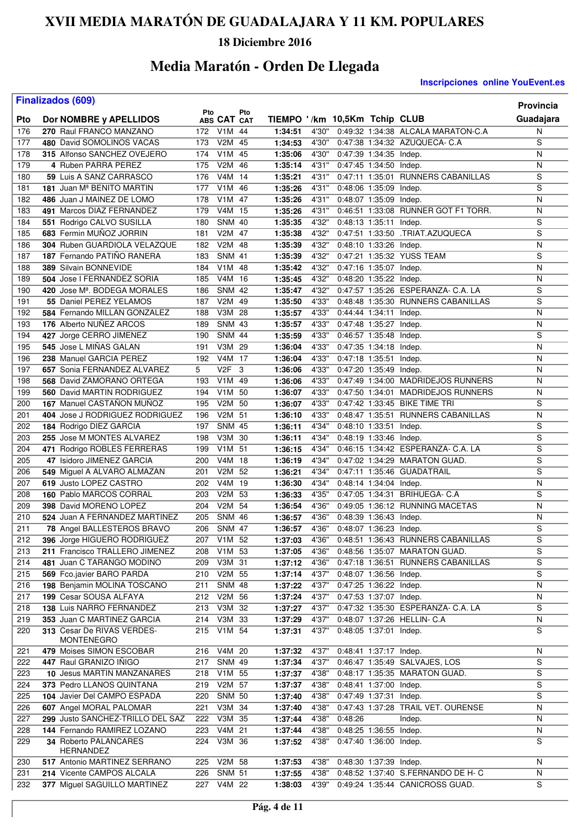### **18 Diciembre 2016**

## **Media Maratón - Orden De Llegada**

|            | <b>Finalizados (609)</b>                                |            |                         |          |                               |                |                        |                        |                                     | <b>Provincia</b>        |
|------------|---------------------------------------------------------|------------|-------------------------|----------|-------------------------------|----------------|------------------------|------------------------|-------------------------------------|-------------------------|
| Pto        |                                                         | Pto        | ABS CAT CAT             | Pto      | TIEMPO '/km 10,5Km Tchip CLUB |                |                        |                        |                                     | Guadajara               |
| 176        | Dor NOMBRE y APELLIDOS<br>270 Raul FRANCO MANZANO       | 172        | V1M 44                  |          | 1:34:51                       | 4'30"          |                        |                        | 0:49:32 1:34:38 ALCALA MARATON-C.A  | N                       |
| 177        | 480 David SOMOLINOS VACAS                               | 173        | V2M 45                  |          | 1:34:53                       | 4'30"          |                        |                        | 0:47:38 1:34:32 AZUQUECA- C.A       | S                       |
| 178        | 315 Alfonso SANCHEZ OVEJERO                             | 174        | V1M                     | 45       | 1:35:06                       | 4'30"          | 0:47:39 1:34:35 Indep. |                        |                                     | N                       |
| 179        | 4 Ruben PARRA PEREZ                                     | 175        | V <sub>2</sub> M        | 46       | 1:35:14                       | 4'31"          | 0:47:45 1:34:50 Indep. |                        |                                     | N                       |
| 180        | 59 Luis A SANZ CARRASCO                                 | 176        | V4M                     | 14       | 1:35:21                       | 4'31"          |                        |                        | 0:47:11 1:35:01 RUNNERS CABANILLAS  | S                       |
| 181        | 181 Juan M <sup>ª</sup> BENITO MARTIN                   | 177        | V <sub>1</sub> M        | 46       | 1:35:26                       | 4'31"          | 0:48:06 1:35:09 Indep. |                        |                                     | $\overline{s}$          |
| 182        | 486 Juan J MAINEZ DE LOMO                               | 178        | V <sub>1</sub> M        | 47       | 1:35:26                       | 4'31"          | 0:48:07 1:35:09 Indep. |                        |                                     | N                       |
| 183        | 491 Marcos DIAZ FERNANDEZ                               | 179        | V4M 15                  |          | 1:35:26                       | 4'31"          |                        |                        | 0:46:51 1:33:08 RUNNER GOT F1 TORR. | N                       |
| 184        | 551 Rodrigo CALVO SUSILLA                               | 180        | <b>SNM 40</b>           |          | 1:35:35                       | 4'32"          | 0:48:13 1:35:11 Indep. |                        |                                     | $\overline{s}$          |
| 185        | 683 Fermin MUNOZ JORRIN                                 | 181        | V <sub>2</sub> M        | 47       | 1:35:38                       | 4'32"          |                        |                        | 0:47:51 1:33:50 .TRIAT.AZUQUECA     | S                       |
| 186        | 304 Ruben GUARDIOLA VELAZQUE                            | 182        | V2M                     | -48      | 1:35:39                       | 4'32"          | 0:48:10 1:33:26 Indep. |                        |                                     | N                       |
| 187        | 187 Fernando PATINO RANERA                              | 183        | <b>SNM 41</b>           |          | 1:35:39                       | 4'32"          |                        |                        | 0:47:21 1:35:32 YUSS TEAM           | $\overline{\mathsf{s}}$ |
| 188        | 389 Silvain BONNEVIDE                                   | 184        | V <sub>1</sub> M        | 48       | 1:35:42                       | 4'32"          | 0:47:16 1:35:07 Indep. |                        |                                     | N                       |
| 189        | 504 Jose I FERNANDEZ SORIA                              | 185        | V <sub>4</sub> M        | 16       | 1:35:45                       | 4'32"          | 0:48:20 1:35:22 Indep. |                        |                                     | N                       |
| 190        | 420 Jose M <sup>a</sup> . BODEGA MORALES                | 186        | <b>SNM 42</b>           |          | 1:35:47                       | 4'32"          |                        |                        | 0:47:57 1:35:26 ESPERANZA- C.A. LA  | S                       |
| 191        | 55 Daniel PEREZ YELAMOS                                 | 187        | V2M                     | 49       | 1:35:50                       | 4'33"          |                        |                        | 0:48:48 1:35:30 RUNNERS CABANILLAS  | S                       |
| 192        | 584 Fernando MILLAN GONZALEZ                            | 188        | V3M 28                  |          | 1:35:57                       | 4'33"          | 0:44:44 1:34:11 Indep. |                        |                                     | N                       |
| 193        | 176 Alberto NUÑEZ ARCOS                                 | 189        | <b>SNM 43</b>           |          | 1:35:57                       | 4'33"          | 0:47:48 1:35:27 Indep. |                        |                                     | N                       |
| 194        | 427 Jorge CERRO JIMENEZ                                 | 190        | <b>SNM 44</b>           |          | 1:35:59                       | 4'33"          | 0:46:57 1:35:48 Indep. |                        |                                     | S                       |
| 195        | 545 Jose L MIÑAS GALAN                                  | 191        | V3M                     | 29       | 1:36:04                       | 4'33"          | 0:47:35 1:34:18 Indep. |                        |                                     | N                       |
| 196        | 238 Manuel GARCIA PEREZ                                 | 192        | $\overline{V4M}$ 17     |          | 1:36:04                       | 4'33"          | 0:47:18 1:35:51 Indep. |                        |                                     | N                       |
| 197        | 657 Sonia FERNANDEZ ALVAREZ                             | 5          | V <sub>2F</sub>         | - 3      | 1:36:06                       | 4'33"          | 0:47:20 1:35:49 Indep. |                        |                                     | N                       |
| 198        | 568 David ZAMORANO ORTEGA                               | 193        | V1M 49                  |          | 1:36:06                       | 4'33"          |                        |                        | 0:47:49 1:34:00 MADRIDEJOS RUNNERS  | N                       |
| 199        | 560 David MARTIN RODRIGUEZ                              | 194        | V <sub>1</sub> M        | 50       | 1:36:07                       | 4'33"          |                        |                        | 0:47:50 1:34:01 MADRIDEJOS RUNNERS  | N                       |
| 200        | 167 Manuel CASTAÑON MUÑOZ                               | 195        | V <sub>2</sub> M        | 50       | 1:36:07                       | 4'33"          |                        |                        | 0:47:42 1:33:45 BIKE TIME TRI       | S                       |
| 201        | 404 Jose J RODRIGUEZ RODRIGUEZ                          | 196        | V <sub>2</sub> M        | 51       | 1:36:10                       | 4'33"          |                        |                        | 0:48:47 1:35:51 RUNNERS CABANILLAS  | N                       |
| 202        | 184 Rodrigo DIEZ GARCIA                                 | 197        | <b>SNM 45</b>           |          | 1:36:11                       | 4'34"          | 0:48:10 1:33:51 Indep. |                        |                                     | S                       |
| 203        | 255 Jose M MONTES ALVAREZ                               | 198        | V3M                     | 30       | 1:36:11                       | 4'34"          | 0:48:19 1:33:46 Indep. |                        |                                     | S                       |
| 204        | 471 Rodrigo ROBLES FERRERAS                             | 199        | $V1M$ 51                |          | 1:36:15                       | 4'34"          |                        |                        | 0:46:15 1:34:42 ESPERANZA- C.A. LA  | $\overline{\mathsf{s}}$ |
| 205        | 47 Isidoro JIMENEZ GARCIA                               | 200        | V4M                     | 18       | 1:36:19                       | 4'34"          |                        |                        | 0:47:02 1:34:29 MARATON GUAD.       | $\overline{\mathsf{s}}$ |
| 206        | 549 Miguel A ALVARO ALMAZAN                             | 201        | V2M                     | 52       | 1:36:21                       | 4'34"          |                        |                        | 0:47:11 1:35:46 GUADATRAIL          | S                       |
| 207        | 619 Justo LOPEZ CASTRO                                  | 202        | V <sub>4</sub> M<br>V2M | 19       | 1:36:30                       | 4'34"          | 0:48:14 1:34:04 Indep. |                        | 0:47:05 1:34:31 BRIHUEGA- C.A       | N<br>$\overline{s}$     |
| 208        | 160 Pablo MARCOS CORRAL                                 | 203        | V2M                     | 53<br>54 | 1:36:33                       | 4'35"          |                        |                        | 0:49:05 1:36:12 RUNNING MACETAS     | N                       |
| 209<br>210 | 398 David MORENO LOPEZ<br>524 Juan A FERNANDEZ MARTINEZ | 204<br>205 | <b>SNM 46</b>           |          | 1:36:54<br>1:36:57            | 4'36"<br>4'36" | 0:48:39 1:36:43 Indep. |                        |                                     | N                       |
| 211        | 78 Angel BALLESTEROS BRAVO                              | 206        | <b>SNM 47</b>           |          | 1:36:57                       | 4'36"          |                        | 0:48:07 1:36:23 Indep. |                                     | S                       |
| 212        | 396 Jorge HIGUERO RODRIGUEZ                             | 207        | V1M 52                  |          | 1:37:03                       | 4'36"          |                        |                        | 0:48:51 1:36:43 RUNNERS CABANILLAS  | S                       |
| 213        | 211 Francisco TRALLERO JIMENEZ                          | 208        | V1M 53                  |          | 1:37:05                       | 4'36"          |                        |                        | 0:48:56 1:35:07 MARATON GUAD.       | S                       |
| 214        | 481 Juan C TARANGO MODINO                               | 209        | V3M 31                  |          | 1:37:12                       | 4'36"          |                        |                        | 0:47:18 1:36:51 RUNNERS CABANILLAS  | S                       |
| 215        | 569 Fco.javier BARO PARDA                               | 210        | V2M 55                  |          | 1:37:14                       | 4'37"          | 0:48:07 1:36:56 Indep. |                        |                                     | S                       |
| 216        | 198 Benjamin MOLINA TOSCANO                             | 211        | <b>SNM 48</b>           |          | 1:37:22                       | 4'37"          | 0:47:25 1:36:22 Indep. |                        |                                     | N                       |
| 217        | 199 Cesar SOUSA ALFAYA                                  |            | 212 V2M 56              |          | 1:37:24                       | 4'37"          | 0:47:53 1:37:07 Indep. |                        |                                     | N                       |
| 218        | 138 Luis NARRO FERNANDEZ                                | 213        | V3M 32                  |          | 1:37:27                       | 4'37"          |                        |                        | 0:47:32 1:35:30 ESPERANZA- C.A. LA  | S                       |
| 219        | 353 Juan C MARTINEZ GARCIA                              |            | 214 V3M 33              |          | 1:37:29                       | 4'37"          |                        |                        | 0:48:07 1:37:26 HELLIN- C.A         | N                       |
| 220        | 313 Cesar De RIVAS VERDES-                              | 215        | V1M 54                  |          | 1:37:31                       | 4'37"          | 0:48:05 1:37:01 Indep. |                        |                                     | S                       |
|            | <b>MONTENEGRO</b>                                       |            |                         |          |                               |                |                        |                        |                                     |                         |
| 221        | 479 Moises SIMON ESCOBAR                                | 216        | V4M 20                  |          | 1:37:32                       | 4'37"          | 0:48:41 1:37:17 Indep. |                        |                                     | N                       |
| 222        | 447 Raul GRANIZO IÑIGO                                  | 217        | <b>SNM 49</b>           |          | 1:37:34                       | 4'37"          |                        |                        | 0:46:47 1:35:49 SALVAJES, LOS       | S                       |
| 223        | 10 Jesus MARTIN MANZANARES                              | 218        | V1M 55                  |          | 1:37:37                       | 4'38"          |                        |                        | 0:48:17 1:35:35 MARATON GUAD.       | S                       |
| 224        | 373 Pedro LLANOS QUINTANA                               | 219        | V2M 57                  |          | 1:37:37                       | 4'38"          | 0:48:41 1:37:00 Indep. |                        |                                     | S                       |
| 225        | 104 Javier Del CAMPO ESPADA                             | 220        | <b>SNM 50</b>           |          | 1:37:40                       | 4'38"          | 0:47:49 1:37:31 Indep. |                        |                                     | S                       |
| 226        | 607 Angel MORAL PALOMAR                                 | 221        | V3M 34                  |          | 1:37:40                       | 4'38"          |                        |                        | 0:47:43 1:37:28 TRAIL VET. OURENSE  | $\overline{\mathsf{N}}$ |
| 227        | 299 Justo SANCHEZ-TRILLO DEL SAZ                        | 222        | V3M 35                  |          | 1:37:44                       | 4'38"          | 0:48:26                |                        | Indep.                              | N                       |
| 228        | 144 Fernando RAMIREZ LOZANO                             | 223        | V4M 21                  |          | 1:37:44                       | 4'38"          | 0:48:25 1:36:55 Indep. |                        |                                     | N                       |
| 229        | 34 Roberto PALANCARES<br><b>HERNANDEZ</b>               | 224        | V3M 36                  |          | 1:37:52                       | 4'38"          | 0:47:40 1:36:00 Indep. |                        |                                     | S                       |
| 230        | 517 Antonio MARTINEZ SERRANO                            | 225        | V2M 58                  |          | 1:37:53                       | 4'38"          | 0:48:30 1:37:39 Indep. |                        |                                     | N                       |
| 231        | 214 Vicente CAMPOS ALCALA                               | 226        | <b>SNM 51</b>           |          | 1:37:55                       | 4'38"          |                        |                        | 0:48:52 1:37:40 S.FERNANDO DE H- C  | N                       |
| 232        | 377 Miguel SAGUILLO MARTINEZ                            |            | 227 V4M 22              |          | 1:38:03                       | 4'39"          |                        |                        | 0:49:24 1:35:44 CANICROSS GUAD.     | S                       |
|            |                                                         |            |                         |          |                               |                |                        |                        |                                     |                         |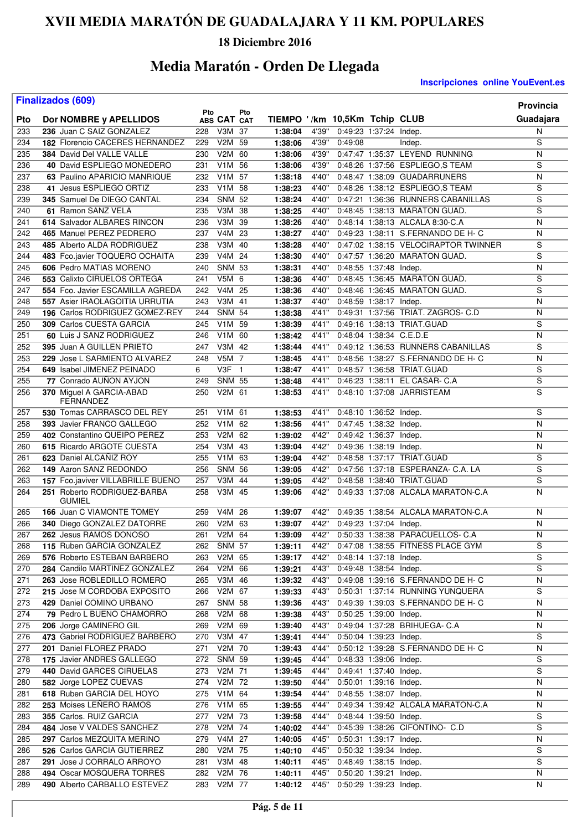### **18 Diciembre 2016**

## **Media Maratón - Orden De Llegada**

|     | <b>Finalizados (609)</b>                          |     |                     |     |                               |       |                        |                        |                                      | Provincia      |
|-----|---------------------------------------------------|-----|---------------------|-----|-------------------------------|-------|------------------------|------------------------|--------------------------------------|----------------|
| Pto | Dor NOMBRE y APELLIDOS                            | Pto | ABS CAT CAT         | Pto | TIEMPO '/km 10,5Km Tchip CLUB |       |                        |                        |                                      | Guadajara      |
| 233 | 236 Juan C SAIZ GONZALEZ                          | 228 | V3M 37              |     | 1:38:04                       | 4'39" |                        | 0:49:23 1:37:24 Indep. |                                      | N              |
| 234 | <b>182 Florencio CACERES HERNANDEZ</b>            | 229 | V2M 59              |     | 1:38:06                       | 4'39" | 0:49:08                |                        | Indep.                               | S              |
| 235 | 384 David Del VALLE VALLE                         | 230 | V2M 60              |     | 1:38:06                       | 4'39" |                        |                        | 0:47:47 1:35:37 LEYEND RUNNING       | N              |
| 236 | 40 David ESPLIEGO MONEDERO                        | 231 | V1M 56              |     | 1:38:06                       | 4'39" |                        |                        | 0:48:26 1:37:56 ESPLIEGO,S TEAM      | S              |
| 237 | 63 Paulino APARICIO MANRIQUE                      | 232 | V <sub>1</sub> M 57 |     | 1:38:18                       | 4'40" |                        |                        | 0:48:47 1:38:09 GUADARRUNERS         | N              |
| 238 | 41 Jesus ESPLIEGO ORTIZ                           | 233 | V1M 58              |     | 1:38:23                       | 4'40" |                        |                        | 0:48:26 1:38:12 ESPLIEGO,S TEAM      | S              |
| 239 | 345 Samuel De DIEGO CANTAL                        | 234 | <b>SNM 52</b>       |     | 1:38:24                       | 4'40" |                        |                        | 0:47:21 1:36:36 RUNNERS CABANILLAS   | S              |
| 240 | 61 Ramon SANZ VELA                                | 235 | V3M 38              |     | 1:38:25                       | 4'40" |                        |                        | 0:48:45 1:38:13 MARATON GUAD.        | $\overline{s}$ |
| 241 | 614 Salvador ALBARES RINCON                       | 236 | V3M 39              |     | 1:38:26                       | 4'40" |                        |                        | 0:48:14 1:38:13 ALCALA 8:30-C.A      | N              |
| 242 | 465 Manuel PEREZ PEDRERO                          | 237 | V4M 23              |     | 1:38:27                       | 4'40" |                        |                        | 0:49:23 1:38:11 S.FERNANDO DE H- C   | N              |
| 243 | 485 Alberto ALDA RODRIGUEZ                        | 238 | V3M 40              |     | 1:38:28                       | 4'40" |                        |                        | 0:47:02 1:38:15 VELOCIRAPTOR TWINNER | S              |
| 244 | 483 Fco.javier TOQUERO OCHAITA                    | 239 | V4M 24              |     | 1:38:30                       | 4'40" |                        |                        | 0:47:57 1:36:20 MARATON GUAD.        | $\overline{s}$ |
| 245 | 606 Pedro MATIAS MORENO                           | 240 | <b>SNM 53</b>       |     | 1:38:31                       | 4'40" | 0:48:55 1:37:48 Indep. |                        |                                      | N              |
| 246 | 553 Calixto CIRUELOS ORTEGA                       | 241 | V5M 6               |     | 1:38:36                       | 4'40" |                        |                        | 0:48:45 1:36:45 MARATON GUAD.        | S              |
| 247 | 554 Fco. Javier ESCAMILLA AGREDA                  | 242 | V <sub>4</sub> M 25 |     | 1:38:36                       | 4'40" |                        |                        | 0:48:46 1:36:45 MARATON GUAD.        | S              |
| 248 | 557 Asier IRAOLAGOITIA URRUTIA                    | 243 | V3M 41              |     | 1:38:37                       | 4'40" | 0:48:59 1:38:17 Indep. |                        |                                      | N              |
| 249 | 196 Carlos RODRIGUEZ GOMEZ-REY                    | 244 | <b>SNM 54</b>       |     | 1:38:38                       | 4'41" |                        |                        | 0:49:31 1:37:56 TRIAT. ZAGROS- C.D   | Ν              |
| 250 | 309 Carlos CUESTA GARCIA                          | 245 | V1M 59              |     | 1:38:39                       | 4'41" |                        |                        | 0:49:16 1:38:13 TRIAT.GUAD           | S              |
| 251 | 60 Luis J SANZ RODRIGUEZ                          | 246 | V <sub>1</sub> M 60 |     | 1:38:42                       | 4'41" |                        |                        | 0:48:04 1:38:34 C.E.D.E              | N              |
| 252 | 395 Juan A GUILLEN PRIETO                         | 247 | V3M 42              |     | 1:38:44                       | 4'41" |                        |                        | 0.49:12 1:36:53 RUNNERS CABANILLAS   | S              |
| 253 | 229 Jose L SARMIENTO ALVAREZ                      | 248 | $V5M$ 7             |     | 1:38:45                       | 4'41" |                        |                        | 0:48:56 1:38:27 S.FERNANDO DE H- C   | N              |
| 254 | 649 Isabel JIMENEZ PEINADO                        | 6   | $V3F$ 1             |     | 1:38:47                       | 4'41" |                        |                        | 0:48:57 1:36:58 TRIAT.GUAD           | S              |
| 255 | 77 Conrado AUNON AYJON                            | 249 | <b>SNM 55</b>       |     | 1:38:48                       | 4'41" |                        |                        | 0:46:23 1:38:11 EL CASAR- C.A        | $\overline{s}$ |
| 256 | 370 Miguel A GARCIA-ABAD<br>FERNANDEZ             | 250 | V2M 61              |     | 1:38:53                       | 4'41" |                        |                        | 0:48:10 1:37:08 JARRISTEAM           | $\overline{s}$ |
| 257 | 530 Tomas CARRASCO DEL REY                        | 251 | V <sub>1</sub> M 61 |     | 1:38:53                       | 4'41" | 0:48:10 1:36:52 Indep. |                        |                                      | S              |
| 258 | 393 Javier FRANCO GALLEGO                         | 252 | V1M 62              |     | 1:38:56                       | 4'41" | 0:47:45 1:38:32 Indep. |                        |                                      | N              |
| 259 | 402 Constantino QUEIPO PEREZ                      | 253 | V2M 62              |     | 1:39:02                       | 4'42" | 0:49:42 1:36:37 Indep. |                        |                                      | N              |
| 260 | 615 Ricardo ARGOTE CUESTA                         | 254 | V3M 43              |     | 1:39:04                       | 4'42" | 0:49:36 1:38:19 Indep. |                        |                                      | N              |
| 261 | 623 Daniel ALCANIZ ROY                            | 255 | V <sub>1</sub> M 63 |     | 1:39:04                       | 4'42" |                        |                        | 0:48:58 1:37:17 TRIAT.GUAD           | S              |
| 262 | 149 Aaron SANZ REDONDO                            | 256 | <b>SNM 56</b>       |     | 1:39:05                       | 4'42" |                        |                        | 0:47:56 1:37:18 ESPERANZA- C.A. LA   | S              |
| 263 | 157 Fco.javiver VILLABRILLE BUENO                 | 257 | V3M 44              |     | 1:39:05                       | 4'42" |                        |                        | 0:48:58 1:38:40 TRIAT.GUAD           | S              |
| 264 | 251 Roberto RODRIGUEZ-BARBA                       | 258 | V3M 45              |     | 1:39:06                       | 4'42" |                        |                        | 0:49:33 1:37:08 ALCALA MARATON-C.A   | N              |
| 265 | <b>GUMIEL</b><br><b>166 Juan C VIAMONTE TOMEY</b> | 259 | V4M 26              |     | 1:39:07                       | 4'42" |                        |                        | 0:49:35 1:38:54 ALCALA MARATON-C.A   | N              |
| 266 | 340 Diego GONZALEZ DATORRE                        | 260 | V2M 63              |     | 1:39:07                       | 4'42" | 0:49:23 1:37:04 Indep. |                        |                                      | N              |
| 267 | 262 Jesus RAMOS DONOSO                            | 261 | V2M 64              |     | 1:39:09                       | 4'42" |                        |                        | 0:50:33 1:38:38 PARACUELLOS- C.A     | N              |
| 268 | 115 Ruben GARCIA GONZALEZ                         | 262 | <b>SNM 57</b>       |     | 1:39:11                       | 4'42" |                        |                        | 0:47:08 1:38:55 FITNESS PLACE GYM    | S              |
| 269 | 576 Roberto ESTEBAN BARBERO                       | 263 | V2M 65              |     | 1:39:17                       | 4'42" |                        | 0:48:14 1:37:18 Indep. |                                      | $\overline{s}$ |
| 270 | 284 Candilo MARTINEZ GONZALEZ                     | 264 | V2M 66              |     | 1:39:21                       | 4'43" |                        | 0:49:48 1:38:54 Indep. |                                      | S              |
| 271 | 263 Jose ROBLEDILLO ROMERO                        | 265 | V3M 46              |     | 1:39:32                       | 4'43" |                        |                        | 0:49:08 1:39:16 S.FERNANDO DE H- C   | N              |
| 272 | 215 Jose M CORDOBA EXPOSITO                       | 266 | V2M 67              |     | 1:39:33                       | 4'43" |                        |                        | 0:50:31 1:37:14 RUNNING YUNQUERA     | S              |
| 273 | 429 Daniel COMINO URBANO                          | 267 | <b>SNM 58</b>       |     | 1:39:36                       | 4'43" |                        |                        | 0:49:39 1:39:03 S.FERNANDO DE H- C   | N              |
| 274 | 79 Pedro L BUENO CHAMORRO                         | 268 | V2M 68              |     | 1:39:38                       | 4'43" | 0:50:25 1:39:00 Indep. |                        |                                      | N              |
| 275 | 206 Jorge CAMINERO GIL                            | 269 | V2M 69              |     | 1:39:40                       | 4'43" |                        |                        | 0:49:04 1:37:28 BRIHUEGA- C.A        | N              |
| 276 | 473 Gabriel RODRIGUEZ BARBERO                     | 270 | V3M 47              |     | 1:39:41                       | 4'44" |                        | 0:50:04 1:39:23 Indep. |                                      | S              |
| 277 | 201 Daniel FLOREZ PRADO                           | 271 | V2M 70              |     | 1:39:43                       | 4'44" |                        |                        | 0:50:12 1:39:28 S.FERNANDO DE H- C   | N              |
| 278 | 175 Javier ANDRES GALLEGO                         | 272 | <b>SNM 59</b>       |     | 1:39:45                       | 4'44" |                        | 0:48:33 1:39:06 Indep. |                                      | S              |
| 279 | 440 David GARCES CIRUELAS                         | 273 | V2M 71              |     | 1:39:45                       | 4'44" |                        | 0:49:41 1:37:40 Indep. |                                      | $\overline{s}$ |
| 280 | 582 Jorge LOPEZ CUEVAS                            | 274 | V2M 72              |     | 1:39:50                       | 4'44" |                        | 0:50:01 1:39:16 Indep. |                                      | N              |
| 281 | 618 Ruben GARCIA DEL HOYO                         | 275 | V1M 64              |     | 1:39:54                       | 4'44" |                        | 0:48:55 1:38:07 Indep. |                                      | N              |
| 282 | 253 Moises LENERO RAMOS                           | 276 | V1M 65              |     | 1:39:55                       | 4'44" |                        |                        | 0:49:34 1:39:42 ALCALA MARATON-C.A   | N              |
| 283 | 355 Carlos. RUIZ GARCIA                           | 277 | V2M 73              |     | 1:39:58                       | 4'44" |                        | 0:48:44 1:39:50 Indep. |                                      | S              |
| 284 | 484 Jose V VALDES SANCHEZ                         | 278 | V2M 74              |     | 1:40:02                       | 4'44" |                        |                        | 0:45:39 1:38:26 CIFONTINO- C.D       | S              |
| 285 | 297 Carlos MEZQUITA MERINO                        | 279 | V4M 27              |     | 1:40:05                       | 4'45" | 0:50:31 1:39:17 Indep. |                        |                                      | N              |
| 286 | 526 Carlos GARCIA GUTIERREZ                       | 280 | V2M 75              |     | 1:40:10                       | 4'45" | 0:50:32 1:39:34 Indep. |                        |                                      | S              |
| 287 | 291 Jose J CORRALO ARROYO                         | 281 | V3M 48              |     | 1:40:11                       | 4'45" | 0:48:49 1:38:15 Indep. |                        |                                      | S              |
| 288 | 494 Oscar MOSQUERA TORRES                         | 282 | V2M 76              |     | 1:40:11                       | 4'45" | 0:50:20 1:39:21 Indep. |                        |                                      | N              |
| 289 | 490 Alberto CARBALLO ESTEVEZ                      |     | 283 V2M 77          |     | 1:40:12                       | 4'45" | 0:50:29 1:39:23 Indep. |                        |                                      | N              |
|     |                                                   |     |                     |     |                               |       |                        |                        |                                      |                |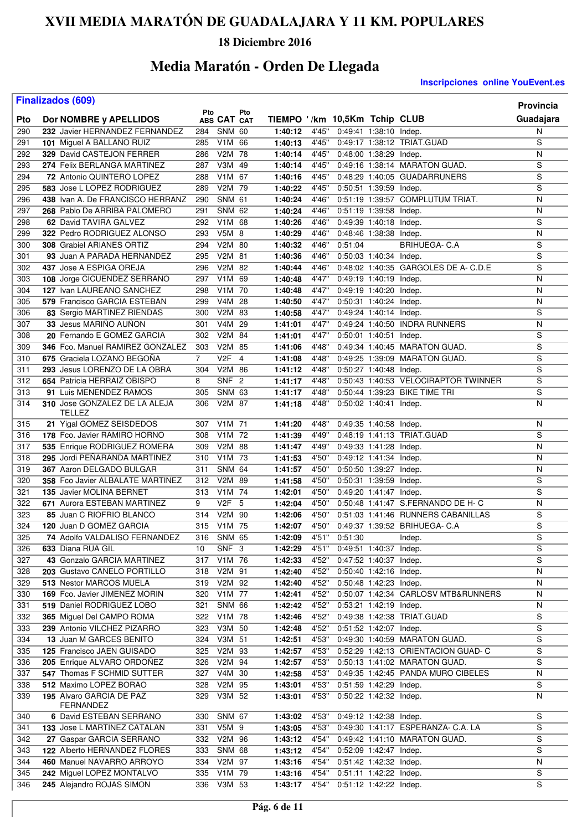### **18 Diciembre 2016**

## **Media Maratón - Orden De Llegada**

|     | <b>Finalizados (609)</b>                       |                |                     |     |                               |        |                        |                                      | Provincia      |
|-----|------------------------------------------------|----------------|---------------------|-----|-------------------------------|--------|------------------------|--------------------------------------|----------------|
| Pto | Dor NOMBRE y APELLIDOS                         | Pto            | ABS CAT CAT         | Pto | TIEMPO '/km 10,5Km Tchip CLUB |        |                        |                                      | Guadajara      |
| 290 | 232 Javier HERNANDEZ FERNANDEZ                 | 284            | <b>SNM 60</b>       |     | 1:40:12                       | 4'45"  | 0:49:41 1:38:10 Indep. |                                      | N              |
| 291 | 101 Miguel A BALLANO RUIZ                      | 285            | V1M 66              |     | 1:40:13                       | 4'45"  |                        | 0:49:17 1:38:12 TRIAT.GUAD           | S              |
| 292 | 329 David CASTEJON FERRER                      | 286            | V2M 78              |     | 1:40:14                       | 4'45"  | 0:48:00 1:38:29 Indep. |                                      | N              |
| 293 | 274 Felix BERLANGA MARTINEZ                    | 287            | V3M 49              |     | 1:40:14                       | 4'45"  |                        | 0:49:16 1:38:14 MARATON GUAD.        | S              |
| 294 | 72 Antonio QUINTERO LOPEZ                      | 288            | V1M 67              |     | 1:40:16                       | 4'45"  |                        | 0:48:29 1:40:05 GUADARRUNERS         | S              |
| 295 | 583 Jose L LOPEZ RODRIGUEZ                     | 289            | V2M 79              |     | 1:40:22                       | 4'45"  | 0:50:51 1:39:59 Indep. |                                      | $\overline{s}$ |
| 296 | 438 Ivan A. De FRANCISCO HERRANZ               | 290            | <b>SNM 61</b>       |     | 1:40:24                       | 4'46"  |                        | 0:51:19 1:39:57 COMPLUTUM TRIAT.     | N              |
| 297 | 268 Pablo De ARRIBA PALOMERO                   | 291            | <b>SNM 62</b>       |     | 1:40:24                       | 4'46"  | 0:51:19 1:39:58 Indep. |                                      | Ν              |
| 298 | 62 David TAVIRA GALVEZ                         | 292            | V1M 68              |     | 1:40:26                       | 4'46'' | 0:49:39 1:40:18 Indep. |                                      | S              |
| 299 | 322 Pedro RODRIGUEZ ALONSO                     | 293            | V5M 8               |     | 1:40:29                       | 4'46"  | 0:48:46 1:38:38 Indep. |                                      | N              |
| 300 | 308 Grabiel ARIANES ORTIZ                      | 294            | V2M 80              |     | 1:40:32                       | 4'46"  | 0:51:04                | <b>BRIHUEGA-C.A</b>                  | S              |
| 301 | 93 Juan A PARADA HERNANDEZ                     | 295            | V2M 81              |     | 1:40:36                       | 4'46"  | 0:50:03 1:40:34 Indep. |                                      | $\overline{s}$ |
| 302 | 437 Jose A ESPIGA OREJA                        | 296            | V2M 82              |     | 1:40:44                       | 4'46"  |                        | 0:48:02 1:40:35 GARGOLES DE A- C.D.E | S              |
| 303 | 108 Jorge CICUENDEZ SERRANO                    | 297            | V1M 69              |     | 1:40:48                       | 4'47"  | 0:49:19 1:40:19 Indep. |                                      | N              |
| 304 | 127 Ivan LAUREANO SANCHEZ                      | 298            | V1M 70              |     | 1:40:48                       | 4'47"  | 0:49:19 1:40:20 Indep. |                                      | N              |
| 305 | 579 Francisco GARCIA ESTEBAN                   | 299            | V4M 28              |     | 1:40:50                       | 4'47"  | 0:50:31 1:40:24 Indep. |                                      | N              |
| 306 | 83 Sergio MARTINEZ RIENDAS                     | 300            | V2M 83              |     | 1:40:58                       | 4'47"  | 0:49:24 1:40:14 Indep. |                                      | S              |
| 307 | 33 Jesus MARIÑO AUÑON                          | 301            | V4M                 | 29  | 1:41:01                       | 4'47"  |                        | 0:49:24 1:40:50 INDRA RUNNERS        | N              |
| 308 | 20 Fernando E GOMEZ GARCIA                     | 302            | V2M 84              |     | 1:41:01                       | 4'47"  | 0:50:01 1:40:51 Indep. |                                      | S              |
| 309 | 346 Fco. Manuel RAMIREZ GONZALEZ               | 303            | V2M 85              |     | 1:41:06                       | 4'48"  |                        | 0:49:34 1:40:45 MARATON GUAD.        | S              |
| 310 | 675 Graciela LOZANO BEGOÑA                     | $\overline{7}$ | $V2F$ 4             |     | 1:41:08                       | 4'48"  |                        | 0:49:25 1:39:09 MARATON GUAD.        | $\overline{s}$ |
| 311 | 293 Jesus LORENZO DE LA OBRA                   | 304            | V2M 86              |     | 1:41:12                       | 4'48"  | 0:50:27 1:40:48 Indep. |                                      | S              |
| 312 | 654 Patricia HERRAIZ OBISPO                    | 8              | SNF <sub>2</sub>    |     | 1:41:17                       | 4'48"  |                        | 0:50:43 1:40:53 VELOCIRAPTOR TWINNER | $\overline{s}$ |
| 313 | 91 Luis MENENDEZ RAMOS                         | 305            | <b>SNM 63</b>       |     | 1:41:17                       | 4'48"  |                        | 0:50:44 1:39:23 BIKE TIME TRI        | $\overline{s}$ |
| 314 | 310 Jose GONZALEZ DE LA ALEJA<br><b>TELLEZ</b> | 306            | V2M 87              |     | 1:41:18                       | 4'48"  | 0:50:02 1:40:41 Indep. |                                      | Ν              |
| 315 | 21 Yigal GOMEZ SEISDEDOS                       | 307            | V1M 71              |     | 1:41:20                       | 4'48"  | 0:49:35 1:40:58 Indep. |                                      | Ν              |
| 316 | 178 Fco. Javier RAMIRO HORNO                   | 308            | V1M 72              |     | 1:41:39                       | 4'49"  |                        | 0:48:19 1:41:13 TRIAT.GUAD           | S              |
| 317 | 535 Enrique RODRIGUEZ ROMERA                   | 309            | V2M 88              |     | 1:41:47                       | 4'49"  | 0:49:33 1:41:28 Indep. |                                      | N              |
| 318 | 295 Jordi PENARANDA MARTINEZ                   | 310            | V <sub>1</sub> M 73 |     | 1:41:53                       | 4'50"  | 0:49:12 1:41:34 Indep. |                                      | N              |
| 319 | 367 Aaron DELGADO BULGAR                       | 311            | <b>SNM 64</b>       |     | 1:41:57                       | 4'50"  | 0:50:50 1:39:27 Indep. |                                      | Ν              |
| 320 | 358 Fco Javier ALBALATE MARTINEZ               | 312            | V2M 89              |     | 1:41:58                       | 4'50"  | 0:50:31 1:39:59 Indep. |                                      | S              |
| 321 | 135 Javier MOLINA BERNET                       | 313            | V1M 74              |     | 1:42:01                       | 4'50"  | 0:49:20 1:41:47 Indep. |                                      | S              |
| 322 | 671 Aurora ESTEBAN MARTINEZ                    | 9              | $V2F$ 5             |     | 1:42:04                       | 4'50"  |                        | 0:50:48 1:41:47 S.FERNANDO DE H- C   | Ν              |
| 323 | 85 Juan C RIOFRIO BLANCO                       | 314            | V2M 90              |     | 1:42:06                       | 4'50"  |                        | 0:51:03 1:41:46 RUNNERS CABANILLAS   | S              |
| 324 | 120 Juan D GOMEZ GARCIA                        | 315            | V <sub>1</sub> M 75 |     | 1:42:07                       | 4'50"  |                        | 0:49:37 1:39:52 BRIHUEGA- C.A        | S              |
| 325 | 74 Adolfo VALDALISO FERNANDEZ                  | 316            | <b>SNM 65</b>       |     | 1:42:09                       | 4'51"  | 0:51:30                | Indep.                               | S              |
| 326 | 633 Diana RUA GIL                              | 10             | SNF 3               |     | 1:42:29                       | 4'51"  | 0:49:51 1:40:37 Indep. |                                      | S              |
| 327 | 43 Gonzalo GARCIA MARTINEZ                     | 317            | V1M 76              |     | 1:42:33                       | 4'52"  | 0:47:52 1:40:37 Indep. |                                      | S              |
| 328 | 203 Gustavo CANELO PORTILLO                    | 318            | V2M 91              |     | 1:42:40                       | 4'52"  | 0:50:40 1:42:16 Indep. |                                      | Ν              |
| 329 | 513 Nestor MARCOS MUELA                        | 319            | V2M 92              |     | 1:42:40                       | 4'52"  | 0:50:48 1:42:23 Indep. |                                      | N              |
| 330 | <b>169</b> Fco. Javier JIMENEZ MORIN           | 320            | V1M 77              |     | 1:42:41                       | 4'52"  |                        | 0:50:07 1:42:34 CARLOSV MTB&RUNNERS  | N              |
| 331 | 519 Daniel RODRIGUEZ LOBO                      | 321            | <b>SNM 66</b>       |     | 1:42:42                       | 4'52"  | 0:53:21 1:42:19 Indep. |                                      | N              |
| 332 | 365 Miguel Del CAMPO ROMA                      | 322            | V1M 78              |     | 1:42:46                       | 4'52"  |                        | 0:49:38 1:42:38 TRIAT.GUAD           | S              |
| 333 | 239 Antonio VILCHEZ PIZARRO                    | 323            | V3M 50              |     | 1:42:48                       | 4'52"  | 0:51:52 1:42:07 Indep. |                                      | S              |
| 334 | 13 Juan M GARCES BENITO                        | 324            | V3M 51              |     | 1:42:51                       | 4'53"  |                        | 0:49:30 1:40:59 MARATON GUAD.        | S              |
| 335 | 125 Francisco JAEN GUISADO                     | 325            | V2M 93              |     | 1:42:57                       | 4'53"  |                        | 0:52:29 1:42:13 ORIENTACION GUAD- C  | S              |
| 336 | 205 Enrique ALVARO ORDOÑEZ                     | 326            | V2M 94              |     | 1:42:57                       | 4'53"  |                        | 0:50:13 1:41:02 MARATON GUAD.        | S              |
| 337 | 547 Thomas F SCHMID SUTTER                     | 327            | V4M 30              |     | 1:42:58                       | 4'53"  |                        | 0:49:35 1:42:45 PANDA MURO CIBELES   | N              |
| 338 | 512 Maximo LOPEZ BORAO                         | 328            | V2M 95              |     | 1:43:01                       | 4'53"  | 0:51:59 1:42:29 Indep. |                                      | S              |
| 339 | 195 Alvaro GARCIA DE PAZ<br>FERNANDEZ          | 329            | V3M 52              |     | 1:43:01                       | 4'53"  | 0:50:22 1:42:32 Indep. |                                      | N              |
| 340 | 6 David ESTEBAN SERRANO                        | 330            | <b>SNM 67</b>       |     | 1:43:02                       | 4'53"  | 0:49:12 1:42:38 Indep. |                                      | S              |
| 341 | 133 Jose L MARTINEZ CATALAN                    | 331            | V5M 9               |     | 1:43:05                       | 4'53"  |                        | 0:49:30 1:41:17 ESPERANZA- C.A. LA   | S              |
| 342 | 27 Gaspar GARCIA SERRANO                       | 332            | V2M 96              |     | 1:43:12                       | 4'54"  |                        | 0:49:42 1:41:10 MARATON GUAD.        | S              |
| 343 | 122 Alberto HERNANDEZ FLORES                   | 333            | <b>SNM 68</b>       |     | 1:43:12                       | 4'54"  | 0:52:09 1:42:47 Indep. |                                      | S              |
| 344 | 460 Manuel NAVARRO ARROYO                      | 334            | V2M 97              |     | 1:43:16                       | 4'54"  | 0:51:42 1:42:32 Indep. |                                      | N              |
| 345 | 242 Miguel LOPEZ MONTALVO                      | 335            | $V1M$ 79            |     | 1:43:16                       | 4'54"  | 0:51:11 1:42:22 Indep. |                                      | S              |
| 346 | 245 Alejandro ROJAS SIMON                      |                | 336 V3M 53          |     | 1:43:17                       | 4'54"  | 0:51:12 1:42:22 Indep. |                                      | S              |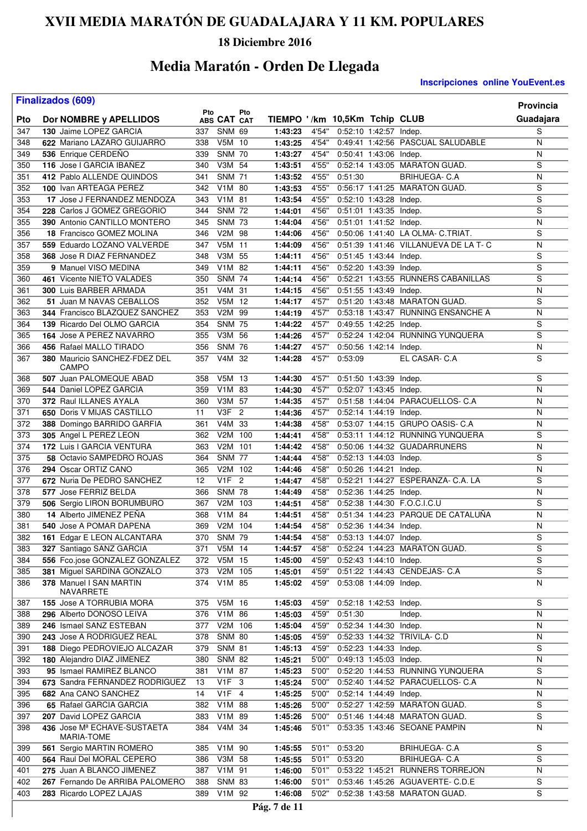### **18 Diciembre 2016**

# **Media Maratón - Orden De Llegada**

|            | <b>Finalizados (609)</b>                            |            |                             |                |                               |                |         |                        |                                                                  | <b>Provincia</b>    |
|------------|-----------------------------------------------------|------------|-----------------------------|----------------|-------------------------------|----------------|---------|------------------------|------------------------------------------------------------------|---------------------|
| Pto        | Dor NOMBRE y APELLIDOS                              | Pto        | ABS CAT CAT                 | Pto            | TIEMPO '/km 10,5Km Tchip CLUB |                |         |                        |                                                                  | Guadajara           |
| 347        | 130 Jaime LOPEZ GARCIA                              | 337        | <b>SNM 69</b>               |                | 1:43:23                       | 4'54"          |         | 0:52:10 1:42:57 Indep. |                                                                  | S                   |
| 348        | 622 Mariano LAZARO GUIJARRO                         | 338        | V5M 10                      |                | 1:43:25                       | 4'54"          |         |                        | 0:49:41 1:42:56 PASCUAL SALUDABLE                                | N                   |
| 349        | 536 Enrique CERDEÑO                                 | 339        | <b>SNM 70</b>               |                | 1:43:27                       | 4'54"          |         | 0:50:41 1:43:06 Indep. |                                                                  | N                   |
| 350        | 116 Jose I GARCIA IBAÑEZ                            | 340        | V3M 54                      |                | 1:43:51                       | 4'55"          |         |                        | 0:52:14 1:43:05 MARATON GUAD.                                    | S                   |
| 351        | 412 Pablo ALLENDE QUINDOS                           | 341        | <b>SNM 71</b>               |                | 1:43:52                       | 4'55"          | 0:51:30 |                        | <b>BRIHUEGA- C.A</b>                                             | N                   |
| 352        | 100 Ivan ARTEAGA PEREZ                              | 342        | V1M                         | 80             | 1:43:53                       | 4'55"          |         |                        | 0:56:17 1:41:25 MARATON GUAD.                                    | $\overline{s}$      |
| 353        | 17 Jose J FERNANDEZ MENDOZA                         | 343        | V1M 81                      |                | 1:43:54                       | 4'55"          |         | 0:52:10 1:43:28 Indep. |                                                                  | S                   |
| 354        | 228 Carlos J GOMEZ GREGORIO                         | 344        | <b>SNM 72</b>               |                | 1:44:01                       | 4'56"          |         | 0:51:01 1:43:35 Indep. |                                                                  | $\overline{s}$      |
| 355        | 390 Antonio CANTILLO MONTERO                        | 345        | <b>SNM 73</b>               |                | 1:44:04                       | 4'56"          |         | 0:51:01 1:41:52 Indep. |                                                                  | N                   |
| 356        | 18 Francisco GOMEZ MOLINA                           | 346        | V2M 98                      |                | 1:44:06                       | 4'56"          |         |                        | 0:50:06 1:41:40 LA OLMA- C.TRIAT.                                | $\mathbf S$         |
| 357        | 559 Eduardo LOZANO VALVERDE                         | 347        | V5M 11                      |                | 1:44:09                       | 4'56"          |         |                        | 0:51:39 1:41:46 VILLANUEVA DE LA T- C                            | N                   |
| 358        | 368 Jose R DIAZ FERNANDEZ                           | 348        | V3M<br>$V1\overline{M}$     | 55             | 1:44:11                       | 4'56"          |         | 0:51:45 1:43:44 Indep. |                                                                  | $\overline{s}$      |
| 359<br>360 | 9 Manuel VISO MEDINA                                | 349        | <b>SNM 74</b>               | 82             | 1:44:11<br>1:44:14            | 4'56"<br>4'56" |         | 0:52:20 1:43:39 Indep. | 0:52:21 1:43:55 RUNNERS CABANILLAS                               | S<br>S              |
| 361        | 461 Vicente NIETO VALADES<br>300 Luis BARBER ARMADA | 350<br>351 | V4M 31                      |                | 1:44:15                       | 4'56"          |         | 0:51:55 1:43:49 Indep. |                                                                  | N                   |
| 362        | 51 Juan M NAVAS CEBALLOS                            | 352        | V5M 12                      |                | 1:44:17                       | 4'57"          |         |                        | 0:51:20 1:43:48 MARATON GUAD.                                    | S                   |
| 363        | 344 Francisco BLAZQUEZ SANCHEZ                      | 353        | V <sub>2</sub> M            | 99             | 1:44:19                       | 4'57"          |         |                        | 0:53:18 1:43:47 RUNNING ENSANCHE A                               | N                   |
| 364        | 139 Ricardo Del OLMO GARCIA                         | 354        | <b>SNM 75</b>               |                | 1:44:22                       | 4'57"          |         | 0:49:55 1:42:25 Indep. |                                                                  | $\overline{s}$      |
| 365        | 164 Jose A PEREZ NAVARRO                            | 355        | V3M                         | 56             | 1:44:26                       | 4'57"          |         |                        | 0:52:24 1:42:04 RUNNING YUNQUERA                                 | S                   |
| 366        | 456 Rafael MALLO TIRADO                             | 356        | <b>SNM</b>                  | 76             | 1:44:27                       | 4'57"          |         | 0:50:56 1:42:14 Indep. |                                                                  | ${\sf N}$           |
| 367        | 380 Mauricio SANCHEZ-FDEZ DEL                       | 357        | V4M                         | -32            | 1:44:28                       | 4'57"          | 0:53:09 |                        | EL CASAR- C.A                                                    | $\overline{s}$      |
|            | CAMPO                                               |            |                             |                |                               |                |         |                        |                                                                  |                     |
| 368        | 507 Juan PALOMEQUE ABAD                             | 358        | V5M 13                      |                | 1:44:30                       | 4'57"          |         | 0:51:50 1:43:39 Indep. |                                                                  | S                   |
| 369        | 544 Daniel LOPEZ GARCIA                             | 359        | V <sub>1</sub> M            | 83             | 1:44:30                       | 4'57"          |         | 0:52:07 1:43:45 Indep. |                                                                  | N                   |
| 370        | 372 Raul ILLANES AYALA                              | 360        | V3M                         | 57             | 1:44:35                       | 4'57"          |         |                        | 0:51:58 1:44:04 PARACUELLOS- C.A                                 | N                   |
| 371        | 650 Doris V MIJAS CASTILLO                          | 11         | V3F                         | $\overline{2}$ | 1:44:36                       | 4'57''         |         | 0:52:14 1:44:19 Indep. |                                                                  | N                   |
| 372        | 388 Domingo BARRIDO GARFIA                          | 361        | V4M                         | 33             | 1:44:38                       | 4'58"          |         |                        | 0:53:07 1:44:15 GRUPO OASIS- C.A                                 | N<br>$\overline{s}$ |
| 373<br>374 | 305 Angel L PEREZ LEON<br>172 Luis I GARCIA VENTURA | 362<br>363 | V <sub>2</sub> M<br>V2M 101 | 100            | 1:44:41<br>1:44:42            | 4'58"<br>4'58" |         |                        | 0:53:11 1:44:12 RUNNING YUNQUERA<br>0:50:06 1:44:32 GUADARRUNERS | N                   |
| 375        | 58 Octavio SAMPEDRO ROJAS                           | 364        | <b>SNM 77</b>               |                | 1:44:44                       | 4'58"          |         | 0:52:13 1:44:03 Indep. |                                                                  | $\overline{s}$      |
| 376        | 294 Oscar ORTIZ CANO                                | 365        | V2M 102                     |                | 1:44:46                       | 4'58"          |         | 0:50:26 1:44:21 Indep. |                                                                  | N                   |
| 377        | 672 Nuria De PEDRO SANCHEZ                          | 12         | $V1F$ 2                     |                | 1:44:47                       | 4'58"          |         |                        | 0:52:21 1:44:27 ESPERANZA- C.A. LA                               | S                   |
| 378        | 577 Jose FERRIZ BELDA                               | 366        | <b>SNM 78</b>               |                | 1:44:49                       | 4'58"          |         | 0:52:36 1:44:25 Indep. |                                                                  | N                   |
| 379        | 506 Sergio LIRON BORUMBURO                          | 367        | V2M 103                     |                | 1:44:51                       | 4'58"          |         |                        | 0:52:38 1:44:30 F.O.C.I.C.U                                      | S                   |
| 380        | 14 Alberto JIMENEZ PEÑA                             | 368        | V <sub>1</sub> M            | 84             | 1:44:51                       | 4'58"          |         |                        | 0:51:34 1:44:23 PARQUE DE CATALUÑA                               | N                   |
| 381        | 540 Jose A POMAR DAPENA                             | 369        | V2M 104                     |                | 1:44:54                       | 4'58"          |         | 0:52:36 1:44:34 Indep. |                                                                  | N                   |
| 382        | 161 Edgar E LEON ALCANTARA                          | 370        | SNM 79                      |                | 1:44:54                       | 4'58"          |         | 0:53:13 1:44:07 Indep. |                                                                  | S                   |
| 383        | 327 Santiago SANZ GARCIA                            | 371        | V5M 14                      |                | 1:44:57                       | 4'58"          |         |                        | 0:52:24 1:44:23 MARATON GUAD.                                    | S                   |
| 384        | 556 Fco.jose GONZALEZ GONZALEZ                      | 372        | V5M 15                      |                | 1:45:00                       | 4'59"          |         | 0:52:43 1:44:10 Indep. |                                                                  | $\overline{s}$      |
| 385        | 381 Miguel SARDINA GONZALO                          | 373        | V2M 105                     |                | 1:45:01                       | 4'59"          |         |                        | 0:51:22 1:44:43 CENDEJAS- C.A                                    | $\overline{s}$      |
| 386        | 378 Manuel I SAN MARTIN<br>NAVARRETE                | 374        | V1M 85                      |                | 1:45:02                       | 4'59"          |         | 0:53:08 1:44:09 Indep. |                                                                  | N                   |
| 387        | 155 Jose A TORRUBIA MORA                            | 375        | V5M 16                      |                | 1:45:03                       | 4'59"          |         | 0:52:18 1:42:53 Indep. |                                                                  | S                   |
| 388        | 296 Alberto DONOSO LEIVA                            | 376        | V1M 86                      |                | 1:45:03                       | 4'59"          | 0:51:30 |                        | Indep.                                                           | N                   |
| 389        | 246 Ismael SANZ ESTEBAN                             | 377        | V2M 106                     |                | 1:45:04                       | 4'59"          |         | 0:52:34 1:44:30 Indep. |                                                                  | N                   |
| 390        | 243 Jose A RODRIGUEZ REAL                           | 378        | <b>SNM 80</b>               |                | 1:45:05                       | 4'59"          |         |                        | 0:52:33 1:44:32 TRIVILA- C.D                                     | N                   |
| 391        | 188 Diego PEDROVIEJO ALCAZAR                        | 379        | <b>SNM 81</b>               |                | 1:45:13                       | 4'59"          |         | 0:52:23 1:44:33 Indep. |                                                                  | S                   |
| 392        | 180 Alejandro DIAZ JIMENEZ                          | 380        | <b>SNM 82</b>               |                | 1:45:21                       | 5'00"          |         | 0:49:13 1:45:03 Indep. |                                                                  | ${\sf N}$           |
| 393        | 95 Ismael RAMIREZ BLANCO                            | 381        | V1M 87                      |                | 1:45:23                       | 5'00"          |         |                        | 0:52:20 1:44:53 RUNNING YUNQUERA                                 | S                   |
| 394        | 673 Sandra FERNANDEZ RODRIGUEZ                      | 13         | $V1F$ 3                     |                | 1:45:24                       | 5'00"          |         |                        | 0:52:40 1:44:52 PARACUELLOS- C.A                                 | Ν                   |
| 395        | 682 Ana CANO SANCHEZ                                | 14         | $V1F$ 4                     |                | 1:45:25                       | 5'00"          |         | 0:52:14 1:44:49 Indep. |                                                                  | Ν                   |
| 396        | 65 Rafael GARCIA GARCIA                             | 382        | V1M 88                      |                | 1:45:26                       | 5'00"          |         |                        | 0:52:27 1:42:59 MARATON GUAD.                                    | S                   |
| 397        | 207 David LOPEZ GARCIA                              | 383        | V1M 89                      |                | 1:45:26                       | 5'00"          |         |                        | 0:51:46 1:44:48 MARATON GUAD.                                    | S                   |
| 398        | 436 Jose Mª ECHAVE-SUSTAETA<br>MARIA-TOME           | 384        | V4M 34                      |                | 1:45:46                       | 5'01"          |         |                        | 0:53:35 1:43:46 SEOANE PAMPIN                                    | N                   |
| 399        | 561 Sergio MARTIN ROMERO                            | 385        | V1M 90                      |                | 1:45:55                       | 5'01"          | 0:53:20 |                        | <b>BRIHUEGA- C.A</b>                                             | S                   |
| 400        | 564 Raul Del MORAL CEPERO                           | 386        | V3M 58                      |                | 1:45:55                       | 5'01"          | 0:53:20 |                        | <b>BRIHUEGA-C.A</b>                                              | S                   |
| 401        | 275 Juan A BLANCO JIMENEZ                           | 387        | V1M 91                      |                | 1:46:00                       | 5'01"          |         |                        | 0:53:22 1:45:21 RUNNERS TORREJON                                 | Ν                   |
| 402        | 267 Fernando De ARRIBA PALOMERO                     | 388        | <b>SNM 83</b>               |                | 1:46:00                       | 5'01"          |         |                        | 0:53:46 1:45:26 AGUAVERTE- C.D.E                                 | S                   |
| 403        | 283 Ricardo LOPEZ LAJAS                             | 389        | V1M 92                      |                | 1:46:08                       | 5'02"          |         |                        | 0:52:38 1:43:58 MARATON GUAD.                                    | S                   |
|            |                                                     |            |                             |                | Pág. 7 de 11                  |                |         |                        |                                                                  |                     |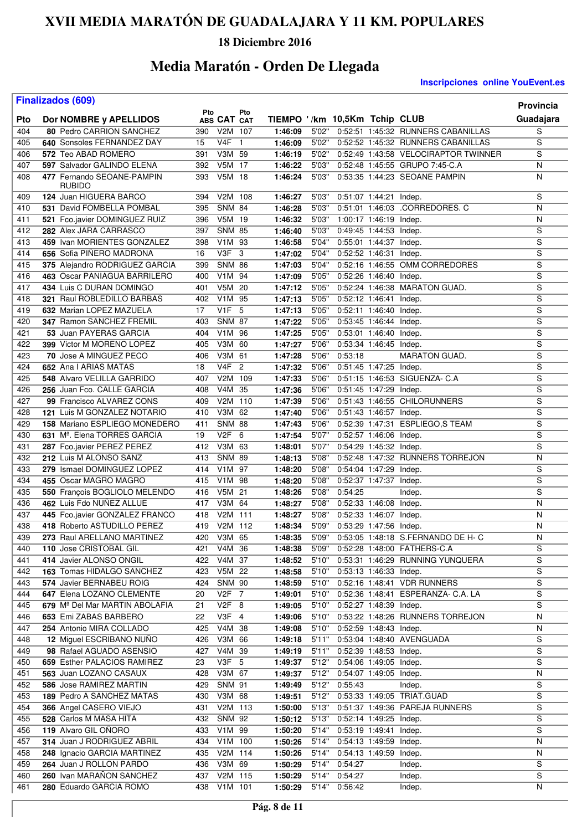### **18 Diciembre 2016**

## **Media Maratón - Orden De Llegada**

|            | <b>Finalizados (609)</b>                           |     |                        |     |                                          |       |                        |                        |                                      | <b>Provincia</b>        |
|------------|----------------------------------------------------|-----|------------------------|-----|------------------------------------------|-------|------------------------|------------------------|--------------------------------------|-------------------------|
|            |                                                    | Pto |                        | Pto |                                          |       |                        |                        |                                      |                         |
| Pto<br>404 | Dor NOMBRE y APELLIDOS<br>80 Pedro CARRION SANCHEZ | 390 | ABS CAT CAT<br>V2M 107 |     | TIEMPO '/km 10,5Km Tchip CLUB<br>1:46:09 | 5'02" |                        |                        | 0:52:51 1:45:32 RUNNERS CABANILLAS   | Guadajara<br>S          |
| 405        | 640 Sonsoles FERNANDEZ DAY                         | 15  | V4F 1                  |     |                                          | 5'02" |                        |                        | 0:52:52 1:45:32 RUNNERS CABANILLAS   | S                       |
| 406        | 572 Teo ABAD ROMERO                                | 391 | V3M 59                 |     | 1:46:09                                  | 5'02" |                        |                        | 0:52:49 1:43:58 VELOCIRAPTOR TWINNER | S                       |
| 407        | 597 Salvador GALINDO ELENA                         | 392 | V5M 17                 |     | 1:46:19<br>1:46:22                       | 5'03" |                        |                        | 0:52:48 1:45:55 GRUPO 7:45-C.A       | N                       |
|            | 477 Fernando SEOANE-PAMPIN                         |     | V5M 18                 |     |                                          | 5'03" |                        |                        | 0:53:35 1:44:23 SEOANE PAMPIN        | N                       |
| 408        | <b>RUBIDO</b>                                      | 393 |                        |     | 1:46:24                                  |       |                        |                        |                                      |                         |
| 409        | 124 Juan HIGUERA BARCO                             | 394 | V2M                    | 108 | 1:46:27                                  | 5'03" |                        | 0:51:07 1:44:21 Indep. |                                      | S                       |
| 410        | 531 David FOMBELLA POMBAL                          | 395 | <b>SNM 84</b>          |     | 1:46:28                                  | 5'03" |                        |                        | 0:51:01 1:46:03 .CORREDORES. C       | $\overline{N}$          |
| 411        | 521 Fco.javier DOMINGUEZ RUIZ                      | 396 | $V5M$ 19               |     | 1:46:32                                  | 5'03" |                        | 1:00:17 1:46:19 Indep. |                                      | N                       |
| 412        | 282 Alex JARA CARRASCO                             | 397 | <b>SNM 85</b>          |     | 1:46:40                                  | 5'03" |                        | 0:49:45 1:44:53 Indep. |                                      | S                       |
| 413        | 459 Ivan MORIENTES GONZALEZ                        | 398 | V1M 93                 |     | 1:46:58                                  | 5'04" |                        | 0:55:01 1:44:37 Indep. |                                      | S                       |
| 414        | 656 Sofia PINERO MADRONA                           | 16  | V3F                    | - 3 | 1:47:02                                  | 5'04" |                        | 0:52:52 1:46:31 Indep. |                                      | $\overline{\mathsf{s}}$ |
| 415        | 375 Alejandro RODRIGUEZ GARCIA                     | 399 | <b>SNM 86</b>          |     | 1:47:03                                  | 5'04" |                        |                        | 0:52:16 1:46:55 OMM CORREDORES       | S                       |
| 416        | 463 Oscar PANIAGUA BARRILERO                       | 400 | V1M 94                 |     | 1:47:09                                  | 5'05" | 0:52:26 1:46:40 Indep. |                        |                                      | $\overline{\mathsf{s}}$ |
| 417        | 434 Luis C DURAN DOMINGO                           | 401 | V5M 20                 |     | 1:47:12                                  | 5'05" |                        |                        | 0:52:24 1:46:38 MARATON GUAD.        | $\overline{\mathsf{s}}$ |
| 418        | 321 Raul ROBLEDILLO BARBAS                         | 402 | V1M 95                 |     | 1:47:13                                  | 5'05" |                        | 0:52:12 1:46:41 Indep. |                                      | S                       |
| 419        | 632 Marian LOPEZ MAZUELA                           | 17  | V <sub>1</sub> F       | 5   | 1:47:13                                  | 5'05" |                        | 0:52:11 1:46:40 Indep. |                                      | S                       |
| 420        | 347 Ramon SANCHEZ FREMIL                           | 403 | <b>SNM 87</b>          |     | 1:47:22                                  | 5'05" |                        | 0:53:45 1:46:44 Indep. |                                      | $\overline{\mathsf{s}}$ |
| 421        | 53 Juan PAYERAS GARCIA                             | 404 | V1M 96                 |     | 1:47:25                                  | 5'05" |                        | 0:53:01 1:46:40 Indep. |                                      | S                       |
| 422        | 399 Victor M MORENO LOPEZ                          | 405 | V3M                    | 60  | 1:47:27                                  | 5'06" |                        | 0:53:34 1:46:45 Indep. |                                      | S                       |
| 423        | 70 Jose A MINGUEZ PECO                             | 406 | V3M 61                 |     | 1:47:28                                  | 5'06" | 0:53:18                |                        | <b>MARATON GUAD.</b>                 | $\overline{\mathsf{s}}$ |
| 424        | 652 Ana I ARIAS MATAS                              | 18  | $V4F$ 2                |     | 1:47:32                                  | 5'06" |                        | 0:51:45 1:47:25 Indep. |                                      | $\overline{\mathsf{s}}$ |
| 425        | 548 Alvaro VELILLA GARRIDO                         | 407 | V2M 109                |     | 1:47:33                                  | 5'06" |                        |                        | 0:51:15 1:46:53 SIGUENZA- C.A        | S                       |
| 426        | 256 Juan Fco. CALLE GARCIA                         | 408 | V4M                    | 35  | 1:47:36                                  | 5'06" |                        | 0:51:45 1:47:29 Indep. |                                      | $\overline{\mathsf{s}}$ |
| 427        | 99 Francisco ALVAREZ CONS                          | 409 | V2M 110                |     | 1:47:39                                  | 5'06" |                        |                        | 0:51:43 1:46:55 CHILORUNNERS         | S                       |
| 428        | 121 Luis M GONZALEZ NOTARIO                        | 410 | V3M 62                 |     | 1:47:40                                  | 5'06" | 0:51:43 1:46:57 Indep. |                        |                                      | S                       |
| 429        | 158 Mariano ESPLIEGO MONEDERO                      | 411 | <b>SNM 88</b>          |     | 1:47:43                                  | 5'06" |                        |                        | 0:52:39 1:47:31 ESPLIEGO,S TEAM      | $\overline{\mathsf{s}}$ |
| 430        | 631 M <sup>a</sup> . Elena TORRES GARCIA           | 19  | $V2F_6$                |     | 1:47:54                                  | 5'07" |                        | 0:52:57 1:46:06 Indep. |                                      | $\overline{\mathsf{s}}$ |
| 431        | 287 Fco.javier PEREZ PEREZ                         | 412 | V3M 63                 |     | 1:48:01                                  | 5'07" |                        | 0:54:29 1:45:32 Indep. |                                      | S                       |
| 432        | 212 Luis M ALONSO SANZ                             | 413 | <b>SNM 89</b>          |     | 1:48:13                                  | 5'08" |                        |                        | 0:52:48 1:47:32 RUNNERS TORREJON     | N                       |
| 433        | 279 Ismael DOMINGUEZ LOPEZ                         | 414 | V1M 97                 |     | 1:48:20                                  | 5'08" |                        | 0:54:04 1:47:29        | Indep.                               | S                       |
| 434        | 455 Oscar MAGRO MAGRO                              | 415 | V1M 98                 |     | 1:48:20                                  | 5'08" |                        | 0:52:37 1:47:37 Indep. |                                      | S                       |
| 435        | 550 François BOGLIOLO MELENDO                      | 416 | V5M 21                 |     | 1:48:26                                  | 5'08" | 0:54:25                |                        | Indep.                               | S                       |
| 436        | 462 Luis Fdo NUNEZ ALLUE                           | 417 | V3M 64                 |     | 1:48:27                                  | 5'08" |                        | 0:52:33 1:46:08 Indep. |                                      | N                       |
| 437        | 445 Fco.javier GONZALEZ FRANCO                     | 418 | V2M 111                |     | 1:48:27                                  | 5'08" |                        | 0:52:33 1:46:07 Indep. |                                      | N                       |
| 438        | 418 Roberto ASTUDILLO PEREZ                        | 419 | V2M 112                |     | 1:48:34                                  | 5'09" | 0:53:29 1:47:56 Indep. |                        |                                      | N                       |
| 439        | 273 Raul ARELLANO MARTINEZ                         | 420 | V3M 65                 |     | 1:48:35                                  | 5'09" |                        |                        | 0:53:05 1:48:18 S.FERNANDO DE H- C   | N                       |
| 440        | 110 Jose CRISTOBAL GIL                             | 421 | V4M 36                 |     | 1:48:38                                  | 5'09" |                        |                        | 0:52:28 1:48:00 FATHERS-C.A          | S                       |
| 441        | 414 Javier ALONSO ONGIL                            | 422 | V4M 37                 |     | 1:48:52                                  | 5'10" |                        |                        | 0:53:31 1:46:29 RUNNING YUNQUERA     | $\overline{s}$          |
| 442        | 163 Tomas HIDALGO SANCHEZ                          | 423 | V5M 22                 |     | 1:48:58                                  | 5'10" |                        | 0:53:13 1:46:33 Indep. |                                      | $\overline{s}$          |
| 443        | 574 Javier BERNABEU ROIG                           | 424 | <b>SNM 90</b>          |     | 1:48:59                                  | 5'10" |                        |                        | 0:52:16 1:48:41 VDR RUNNERS          | S                       |
| 444        | 647 Elena LOZANO CLEMENTE                          | 20  | V2F 7                  |     | 1:49:01                                  | 5'10" |                        |                        | 0:52:36 1:48:41 ESPERANZA- C.A. LA   | S                       |
| 445        | 679 Mª Del Mar MARTIN ABOLAFIA                     | 21  | V2F 8                  |     | 1:49:05                                  | 5'10" |                        | 0:52:27 1:48:39 Indep. |                                      | S                       |
| 446        | 653 Emi ZABAS BARBERO                              | 22  | $V3F$ 4                |     | 1:49:06                                  | 5'10" |                        |                        | 0:53:22 1:48:26 RUNNERS TORREJON     | N                       |
| 447        | 254 Antonio MIRA COLLADO                           | 425 | V4M 38                 |     | 1:49:08                                  | 5'10" |                        | 0:52:59 1:48:43 Indep. |                                      | N                       |
| 448        | 12 Miguel ESCRIBANO NUÑO                           | 426 | V3M 66                 |     | 1:49:18                                  | 5'11" |                        |                        | 0:53:04 1:48:40 AVENGUADA            | S                       |
| 449        | 98 Rafael AGUADO ASENSIO                           | 427 | V4M 39                 |     | 1:49:19                                  | 5'11" | 0:52:39 1:48:53 Indep. |                        |                                      | S                       |
| 450        | 659 Esther PALACIOS RAMIREZ                        | 23  | V3F 5                  |     | 1:49:37                                  | 5'12" | 0:54:06 1:49:05 Indep. |                        |                                      | S                       |
| 451        | 563 Juan LOZANO CASAUX                             | 428 | V3M 67                 |     | 1:49:37                                  | 5'12" | 0:54:07 1:49:05 Indep. |                        |                                      | $\overline{\mathsf{N}}$ |
| 452        | 586 Jose RAMIREZ MARTIN                            | 429 | <b>SNM 91</b>          |     | 1:49:49                                  | 5'12" | 0:55:43                |                        | Indep.                               | S                       |
| 453        | 189 Pedro A SANCHEZ MATAS                          | 430 | V3M 68                 |     | 1:49:51                                  | 5'12" |                        |                        | 0:53:33 1:49:05 TRIAT.GUAD           | $\overline{s}$          |
| 454        | 366 Angel CASERO VIEJO                             | 431 | V2M 113                |     | 1:50:00                                  | 5'13" |                        |                        | 0:51:37 1:49:36 PAREJA RUNNERS       | $\overline{s}$          |
| 455        | 528 Carlos M MASA HITA                             | 432 | <b>SNM 92</b>          |     | 1:50:12                                  | 5'13" |                        | 0:52:14 1:49:25 Indep. |                                      | S                       |
| 456        | 119 Alvaro GIL OÑORO                               | 433 | V1M 99                 |     | 1:50:20                                  | 5'14" |                        | 0:53:19 1:49:41 Indep. |                                      | S                       |
| 457        | 314 Juan J RODRIGUEZ ABRIL                         | 434 | V1M 100                |     | 1:50:26                                  | 5'14" |                        | 0:54:13 1:49:59 Indep. |                                      | Ν                       |
| 458        | 248 Ignacio GARCIA MARTINEZ                        | 435 | V2M 114                |     | 1:50:26                                  | 5'14" |                        | 0:54:13 1:49:59 Indep. |                                      | N                       |
| 459        | 264 Juan J ROLLON PARDO                            | 436 | V3M 69                 |     | 1:50:29                                  | 5'14" | 0:54:27                |                        | Indep.                               | S                       |
| 460        | 260 Ivan MARAÑON SANCHEZ                           | 437 | V2M 115                |     | 1:50:29                                  | 5'14" | 0:54:27                |                        | Indep.                               | S                       |
| 461        | 280 Eduardo GARCIA ROMO                            | 438 | V1M 101                |     | 1:50:29                                  |       | 5'14" 0:56:42          |                        | Indep.                               | N                       |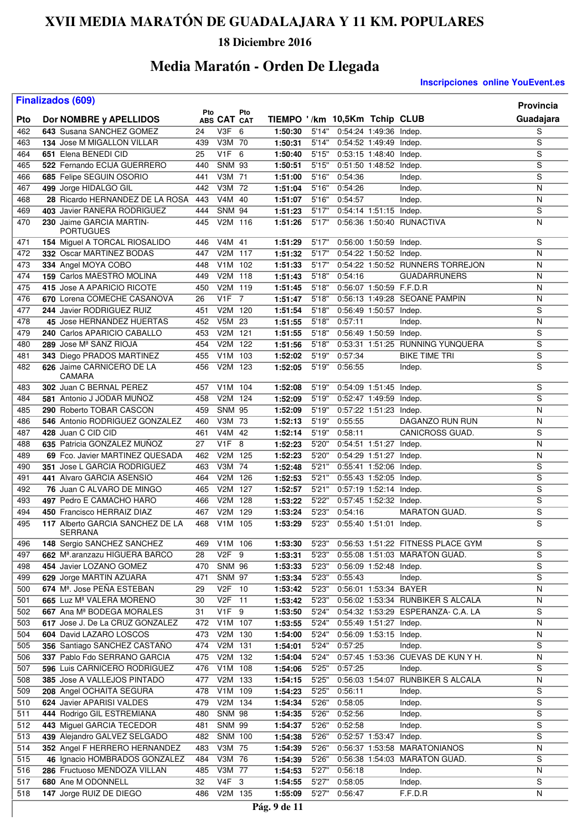### **18 Diciembre 2016**

## **Media Maratón - Orden De Llegada**

**Inscripciones online YouEvent.es** 

| <b>Finalizados (609)</b><br>Provincia |                                                    |            |                      |     |                               |                |                        |                        |                                    |                |  |
|---------------------------------------|----------------------------------------------------|------------|----------------------|-----|-------------------------------|----------------|------------------------|------------------------|------------------------------------|----------------|--|
| Pto                                   | Dor NOMBRE y APELLIDOS                             | Pto        | ABS CAT CAT          | Pto | TIEMPO '/km 10,5Km Tchip CLUB |                |                        |                        |                                    | Guadajara      |  |
| 462                                   | 643 Susana SANCHEZ GOMEZ                           | 24         | $V3F_6$              |     | 1:50:30                       | 5'14"          |                        | 0:54:24 1:49:36 Indep. |                                    | S              |  |
| 463                                   | 134 Jose M MIGALLON VILLAR                         | 439        | V3M 70               |     | 1:50:31                       | 5'14"          |                        | 0:54:52 1:49:49 Indep. |                                    | $\overline{s}$ |  |
| 464                                   | 651 Elena BENEDI CID                               | 25         | $V1F_6$              |     | 1:50:40                       | 5'15"          |                        | 0:53:15 1:48:40 Indep. |                                    | S              |  |
| 465                                   | 522 Fernando ECIJA GUERRERO                        | 440        | <b>SNM 93</b>        |     | 1:50:51                       | 5'15"          |                        | 0:51:50 1:48:52 Indep. |                                    | S              |  |
| 466                                   | 685 Felipe SEGUIN OSORIO                           | 441        | V3M 71               |     | 1:51:00                       | 5'16"          | 0:54:36                |                        | Indep.                             | S              |  |
| 467                                   | 499 Jorge HIDALGO GIL                              | 442        | V3M 72               |     | 1:51:04                       | 5'16"          | 0:54:26                |                        | Indep.                             | N              |  |
| 468                                   | 28 Ricardo HERNANDEZ DE LA ROSA                    | 443        | V4M 40               |     | 1:51:07                       | 5'16"          | 0:54:57                |                        | Indep.                             | N              |  |
| 469                                   | 403 Javier RANERA RODRIGUEZ                        | 444        | <b>SNM 94</b>        |     | 1:51:23                       | 5'17"          | 0:54:14 1:51:15 Indep. |                        |                                    | S              |  |
| 470                                   | 230 Jaime GARCIA MARTIN-<br>PORTUGUES              | 445        | V2M 116              |     | 1:51:26                       | 5'17"          |                        |                        | 0:56:36 1:50:40 RUNACTIVA          | N              |  |
| 471                                   | 154 Miguel A TORCAL RIOSALIDO                      | 446        | V4M 41               |     | 1:51:29                       | 5'17"          | 0:56:00 1:50:59 Indep. |                        |                                    | S              |  |
| 472                                   | 332 Oscar MARTINEZ BODAS                           | 447        | V2M 117              |     | 1:51:32                       | 5'17"          | 0:54:22 1:50:52 Indep. |                        |                                    | N              |  |
| 473                                   | 334 Angel MOYA COBO                                | 448        | V1M 102              |     | 1:51:33                       | 5'17"          |                        |                        | 0:54:22 1:50:52 RUNNERS TORREJON   | N              |  |
| 474                                   | 159 Carlos MAESTRO MOLINA                          | 449        | V2M 118              |     | 1:51:43                       | 5'18"          | 0:54:16                |                        | <b>GUADARRUNERS</b>                | N              |  |
| 475                                   | 415 Jose A APARICIO RICOTE                         | 450        | V2M 119              |     | 1:51:45                       | 5'18"          |                        |                        | 0:56:07 1:50:59 F.F.D.R            | N              |  |
| 476                                   | 670 Lorena COMECHE CASANOVA                        | 26         | <b>V1F</b> 7         |     | 1:51:47                       | 5'18"          |                        |                        | 0:56:13 1:49:28 SEOANE PAMPIN      | N              |  |
| 477                                   | 244 Javier RODRIGUEZ RUIZ                          | 451        | V2M 120              |     | 1:51:54                       | 5'18"          |                        | 0:56:49 1:50:57 Indep. |                                    | S              |  |
| 478                                   | 45 Jose HERNANDEZ HUERTAS                          | 452        | V5M 23               |     | 1:51:55                       | 5'18"          | 0:57:11                |                        | Indep.                             | N              |  |
| 479                                   | 240 Carlos APARICIO CABALLO                        | 453        | V2M 121              |     | 1:51:55                       | 5'18"          |                        | 0:56:49 1:50:59 Indep. |                                    | S              |  |
| 480                                   | 289 Jose Mª SANZ RIOJA                             | 454        | V2M 122              |     | 1:51:56                       | 5'18"          |                        |                        | 0:53:31 1:51:25 RUNNING YUNQUERA   | S              |  |
| 481                                   | 343 Diego PRADOS MARTINEZ                          | 455        | V <sub>1</sub> M 103 |     | 1:52:02                       | 5'19"          | 0:57:34                |                        | <b>BIKE TIME TRI</b>               | S              |  |
| 482                                   | 626 Jaime CARNICERO DE LA<br>CAMARA                | 456        | V2M 123              |     | 1:52:05                       | 5'19"          | 0:56:55                |                        | Indep.                             | S              |  |
| 483                                   | 302 Juan C BERNAL PEREZ                            | 457        | V1M 104              |     | 1:52:08                       | 5'19"          | 0:54:09 1:51:45 Indep. |                        |                                    | S              |  |
| 484                                   | 581 Antonio J JODAR MUNOZ                          | 458        | V2M 124              |     | 1:52:09                       | 5'19"          |                        | 0:52:47 1:49:59 Indep. |                                    | $\overline{s}$ |  |
| 485                                   | 290 Roberto TOBAR CASCON                           | 459        | <b>SNM 95</b>        |     | 1:52:09                       | 5'19"          |                        | 0:57:22 1:51:23 Indep. |                                    | N              |  |
| 486                                   | 546 Antonio RODRIGUEZ GONZALEZ                     | 460        | V3M 73               |     | 1:52:13                       | 5'19"          | 0:55:55                |                        | DAGANZO RUN RUN                    | N              |  |
| 487                                   | 428 Juan C CID CID                                 | 461        | V4M 42               |     | 1:52:14                       | 5'19"          | 0:58:11                |                        | CANICROSS GUAD.                    | S              |  |
| 488                                   | 635 Patricia GONZALEZ MUÑOZ                        | 27         | V1F                  | - 8 | 1:52:23                       | 5'20"          |                        | 0:54:51 1:51:27 Indep. |                                    | N              |  |
| 489                                   | 69 Fco. Javier MARTINEZ QUESADA                    | 462        | V2M 125              |     | 1:52:23                       | 5'20"          |                        | 0:54:29 1:51:27 Indep. |                                    | N              |  |
| 490                                   | 351 Jose L GARCIA RODRIGUEZ                        | 463        | V3M 74               |     | 1:52:48                       | 5'21"          |                        | 0:55:41 1:52:06 Indep. |                                    | S              |  |
| 491                                   | 441 Alvaro GARCIA ASENSIO                          | 464        | V2M 126              |     | 1:52:53                       | 5'21"          |                        | 0:55:43 1:52:05 Indep. |                                    | S              |  |
| 492                                   | 76 Juan C ALVARO DE MINGO                          | 465        | V2M 127              |     | 1:52:57                       | 5'21"          |                        | 0:57:19 1:52:14 Indep. |                                    | $\overline{s}$ |  |
| 493                                   | 497 Pedro E CAMACHO HARO                           | 466        | V2M 128              |     | 1:53:22                       | 5'22"          |                        | 0:57:45 1:52:32 Indep. |                                    | $\overline{s}$ |  |
| 494                                   | 450 Francisco HERRAIZ DIAZ                         | 467        | V2M 129              |     | 1:53:24                       | 5'23"          | 0:54:16                |                        | <b>MARATON GUAD.</b>               | S              |  |
| 495                                   | 117 Alberto GARCIA SANCHEZ DE LA<br><b>SERRANA</b> | 468        | V1M 105              |     | 1:53:29                       | 5'23"          | 0:55:40 1:51:01 Indep. |                        |                                    | $\overline{s}$ |  |
| 496                                   | 148 Sergio SANCHEZ SANCHEZ                         | 469        | V1M 106              |     | 1:53:30                       | 5'23"          |                        |                        | 0:56:53 1:51:22 FITNESS PLACE GYM  | S              |  |
| 497                                   | 662 Mª.aranzazu HIGUERA BARCO                      | 28         | V2F 9                |     | 1:53:31                       | 5'23"          |                        |                        | 0:55:08 1:51:03 MARATON GUAD.      | S              |  |
| 498                                   | 454 Javier LOZANO GOMEZ                            | 470        | <b>SNM 96</b>        |     | 1:53:33                       | 5'23"          |                        | 0:56:09 1:52:48 Indep. |                                    | S              |  |
| 499                                   | 629 Jorge MARTIN AZUARA                            | 471        | <b>SNM 97</b>        |     | 1:53:34                       | 5'23"          | 0:55:43                |                        | Indep.                             | S              |  |
| 500                                   | 674 Mª. Jose PEÑA ESTEBAN                          | 29         | V2F 10               |     | 1:53:42                       | 5'23"          |                        |                        | 0:56:01 1:53:34 BAYER              | Ν              |  |
| 501                                   | 665 Luz Mª VALERA MORENO                           | 30         | V2F 11               |     | 1:53:42                       | 5'23"          |                        |                        | 0:56:02 1:53:34 RUNBIKER S ALCALA  | N              |  |
| 502                                   | 667 Ana M <sup>a</sup> BODEGA MORALES              | 31         | V1F 9                |     | 1:53:50                       | 5'24"          |                        |                        | 0:54:32 1:53:29 ESPERANZA- C.A. LA | S              |  |
| 503                                   | 617 Jose J. De La CRUZ GONZALEZ                    | 472        | V1M 107              |     | 1:53:55                       | 5'24"          |                        | 0:55:49 1:51:27 Indep. |                                    | Ν              |  |
| 504                                   | 604 David LAZARO LOSCOS                            | 473        | V2M 130              |     | 1:54:00                       | 5'24"          |                        | 0:56:09 1:53:15 Indep. |                                    | Ν              |  |
| 505                                   | 356 Santiago SANCHEZ CASTAÑO                       | 474        | V2M 131              |     | 1:54:01                       | 5'24"          | 0:57:25                |                        | Indep.                             | S              |  |
| 506                                   | 337 Pablo Fdo SERRANO GARCIA                       | 475        | V2M 132              |     | 1:54:04                       | 5'24"          |                        |                        | 0:57:45 1:53:36 CUEVAS DE KUN Y H. | Ν              |  |
| 507                                   | 596 Luis CARNICERO RODRIGUEZ                       | 476        | V1M 108              |     | 1:54:06                       | 5'25"          | 0:57:25                |                        | Indep.                             | S              |  |
| 508                                   | 385 Jose A VALLEJOS PINTADO                        | 477        | V2M 133              |     | 1:54:15                       | 5'25"          |                        |                        | 0:56:03 1:54:07 RUNBIKER S ALCALA  | N              |  |
| 509                                   | 208 Angel OCHAITA SEGURA                           | 478        | V1M 109              |     | 1:54:23                       | 5'25"          | 0:56:11                |                        | Indep.                             | S              |  |
| 510                                   | 624 Javier APARISI VALDES                          | 479        | V2M 134              |     | 1:54:34                       | 5'26"          | 0:58:05                |                        | Indep.                             | S              |  |
| 511                                   | 444 Rodrigo GIL ESTREMIANA                         | 480        | <b>SNM 98</b>        |     | 1:54:35                       | 5'26"          | 0:52:56                |                        | Indep.                             | S              |  |
| 512                                   | 443 Miguel GARCIA TECEDOR                          | 481        | <b>SNM 99</b>        |     | 1:54:37                       | 5'26"          | 0:52:58                |                        | Indep.                             | S              |  |
| 513                                   |                                                    | 482        | <b>SNM 100</b>       |     |                               | 5'26"          |                        |                        |                                    | $\overline{s}$ |  |
|                                       | 439 Alejandro GALVEZ SELGADO                       |            |                      |     | 1:54:38                       |                |                        | 0:52:57 1:53:47 Indep. | 0:56:37 1:53:58 MARATONIANOS       | N              |  |
| 514                                   | 352 Angel F HERRERO HERNANDEZ                      | 483        | V3M 75               |     | 1:54:39                       | 5'26"          |                        |                        |                                    | S              |  |
| 515<br>516                            | 46 Ignacio HOMBRADOS GONZALEZ                      | 484<br>485 | V3M 76<br>V3M 77     |     | 1:54:39                       | 5'26"<br>5'27" | 0:56:18                |                        | 0:56:38 1:54:03 MARATON GUAD.      | Ν              |  |
|                                       | 286 Fructuoso MENDOZA VILLAN                       |            |                      |     | 1:54:53                       |                |                        |                        | Indep.                             | S              |  |
| 517                                   | 680 Ane M ODONNELL                                 | 32         | V4F 3                |     | 1:54:55                       | 5'27"          | 0:58:05                |                        | Indep.                             |                |  |
| 518                                   | 147 Jorge RUIZ DE DIEGO                            | 486        | V2M 135              |     | 1:55:09                       | 5'27"          | 0:56:47                |                        | F.F.D.R                            | N              |  |

 $\overline{\phantom{a}}$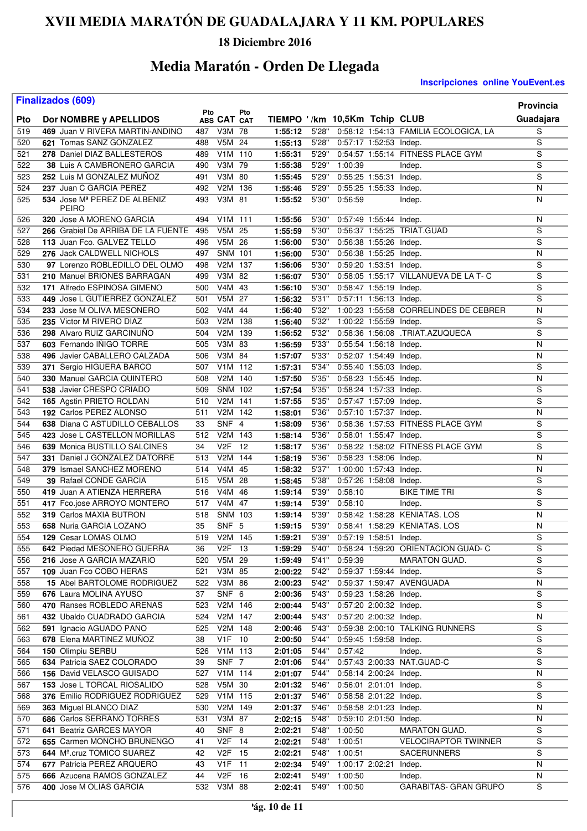### **18 Diciembre 2016**

## **Media Maratón - Orden De Llegada**

|            | <b>Finalizados (609)</b>                                  |            |                       |     |                               |                |         |                        |                                       | <b>Provincia</b>        |
|------------|-----------------------------------------------------------|------------|-----------------------|-----|-------------------------------|----------------|---------|------------------------|---------------------------------------|-------------------------|
|            |                                                           | Pto        |                       | Pto | TIEMPO '/km 10,5Km Tchip CLUB |                |         |                        |                                       |                         |
| Pto        | Dor NOMBRE y APELLIDOS<br>469 Juan V RIVERA MARTIN-ANDINO |            | ABS CAT CAT<br>V3M 78 |     |                               |                |         |                        |                                       | Guadajara<br>S          |
| 519<br>520 | 621 Tomas SANZ GONZALEZ                                   | 487<br>488 | V5M 24                |     | 1:55:12<br>1:55:13            | 5'28"<br>5'28" |         | 0:57:17 1:52:53 Indep. | 0:58:12 1:54:13 FAMILIA ECOLOGICA, LA | S                       |
| 521        | 278 Daniel DIAZ BALLESTEROS                               | 489        | V1M 110               |     | 1:55:31                       | 5'29"          |         |                        | 0:54:57 1:55:14 FITNESS PLACE GYM     | S                       |
| 522        | 38 Luis A CAMBRONERO GARCIA                               | 490        | V3M 79                |     | 1:55:38                       | 5'29"          | 1:00:39 |                        | Indep.                                | S                       |
| 523        | 252 Luis M GONZALEZ MUNOZ                                 | 491        | V3M 80                |     | 1:55:45                       | 5'29"          |         | 0:55:25 1:55:31 Indep. |                                       | S                       |
| 524        | 237 Juan C GARCIA PEREZ                                   | 492        | V <sub>2</sub> M      | 136 | 1:55:46                       | 5'29"          |         | 0:55:25 1:55:33 Indep. |                                       | N                       |
| 525        | 534 Jose Mª PEREZ DE ALBENIZ                              | 493        | V3M 81                |     | 1:55:52                       | 5'30"          | 0:56:59 |                        | Indep.                                | N                       |
|            | <b>PEIRO</b>                                              |            |                       |     |                               |                |         |                        |                                       |                         |
| 526        | 320 Jose A MORENO GARCIA                                  | 494        | V1M 111               |     | 1:55:56                       | 5'30"          |         | 0:57:49 1:55:44 Indep. |                                       | N                       |
| 527        | 266 Grabiel De ARRIBA DE LA FUENTE                        | 495        | V5M 25                |     | 1:55:59                       | 5'30"          |         |                        | 0:56:37 1:55:25 TRIAT.GUAD            | S                       |
| 528        | 113 Juan Fco. GALVEZ TELLO                                | 496        | V5M 26                |     | 1:56:00                       | 5'30"          |         | 0:56:38 1:55:26 Indep. |                                       | S                       |
| 529        | 276 Jack CALDWELL NICHOLS                                 | 497        | SNM 101               |     | 1:56:00                       | 5'30"          |         | 0:56:38 1:55:25 Indep. |                                       | N                       |
| 530        | 97 Lorenzo ROBLEDILLO DEL OLMO                            | 498        | V2M 137               |     | 1:56:06                       | 5'30"          |         | 0:59:20 1:53:51 Indep. |                                       | S                       |
| 531        | 210 Manuel BRIONES BARRAGAN                               | 499        | $V3M$ 82              |     | 1:56:07                       | 5'30"          |         |                        | 0:58:05 1:55:17 VILLANUEVA DE LA T- C | $\overline{s}$          |
| 532        | 171 Alfredo ESPINOSA GIMENO                               | 500        | V4M 43                |     | 1:56:10                       | 5'30"          |         | 0:58:47 1:55:19 Indep. |                                       | $\overline{s}$          |
| 533        | 449 Jose L GUTIERREZ GONZALEZ                             | 501        | V5M 27                |     | 1:56:32                       | 5'31"          |         | 0:57:11 1:56:13 Indep. |                                       | S                       |
| 534        | 233 Jose M OLIVA MESONERO                                 | 502        | V4M 44                |     | 1:56:40                       | 5'32"          |         |                        | 1:00:23 1:55:58 CORRELINDES DE CEBRER | N                       |
| 535        | 235 Victor M RIVERO DIAZ                                  | 503        | V2M                   | 138 | 1:56:40                       | 5'32"          |         | 1:00:22 1:55:59 Indep. |                                       | S                       |
| 536        | 298 Alvaro RUIZ GARCINUÑO                                 | 504        | V2M 139               |     | 1:56:52                       | 5'32"          |         |                        | 0:58:36 1:56:08 .TRIAT.AZUQUECA       | S                       |
| 537        | 603 Fernando IÑIGO TORRE                                  | 505        | V3M 83                |     | 1:56:59                       | 5'33"          |         | 0:55:54 1:56:18 Indep. |                                       | N                       |
| 538        | 496 Javier CABALLERO CALZADA                              | 506        | V3M 84                |     | 1:57:07                       | 5'33"          |         | 0:52:07 1:54:49 Indep. |                                       | N                       |
| 539        | 371 Sergio HIGUERA BARCO                                  | 507        | V1M 112               |     | 1:57:31                       | 5'34"          |         | 0:55:40 1:55:03 Indep. |                                       | S                       |
| 540        | 330 Manuel GARCIA QUINTERO                                | 508        | V <sub>2</sub> M      | 140 | 1:57:50                       | 5'35"          |         | 0:58:23 1:55:45 Indep. |                                       | N                       |
| 541        | 538 Javier CRESPO CRIADO                                  | 509        | <b>SNM 102</b>        |     | 1:57:54                       | 5'35"          |         | 0:58:24 1:57:33 Indep. |                                       | S                       |
| 542        | 165 Agstin PRIETO ROLDAN                                  | 510        | V2M 141               |     | 1:57:55                       | 5'35"          |         | 0:57:47 1:57:09 Indep. |                                       | S                       |
| 543        | 192 Carlos PEREZ ALONSO                                   | 511        | V2M 142               |     | 1:58:01                       | 5'36"          |         | 0:57:10 1:57:37 Indep. |                                       | N                       |
| 544        | 638 Diana C ASTUDILLO CEBALLOS                            | 33         | $SNF$ 4               |     | 1:58:09                       | 5'36"          |         |                        | 0:58:36 1:57:53 FITNESS PLACE GYM     | S                       |
| 545        | 423 Jose L CASTELLON MORILLAS                             | 512        | V2M 143               |     | 1:58:14                       | 5'36"          |         | 0:58:01 1:55:47 Indep. |                                       | $\overline{s}$          |
| 546        | 639 Monica BUSTILLO SALCINES                              | 34         | V <sub>2F</sub>       | 12  | 1:58:17                       | 5'36"          |         |                        | 0:58:22 1:58:02 FITNESS PLACE GYM     | S                       |
| 547        | 331 Daniel J GONZALEZ DATORRE                             | 513        | V <sub>2</sub> M      | 144 | 1:58:19                       | 5'36"          |         | 0:58:23 1:58:06 Indep. |                                       | N                       |
| 548        | 379 Ismael SANCHEZ MORENO                                 | 514        | V4M 45                |     | 1:58:32                       | 5'37"          |         | 1:00:00 1:57:43 Indep. |                                       | N                       |
| 549        | <b>39 Rafael CONDE GARCIA</b>                             | 515        | V5M                   | -28 | 1:58:45                       | 5'38"          |         | 0:57:26 1:58:08 Indep. |                                       | S                       |
| 550        | 419 Juan A ATIENZA HERRERA                                | 516        | V4M                   | -46 | 1:59:14                       | 5'39"          | 0:58:10 |                        | <b>BIKE TIME TRI</b>                  | S                       |
| 551        | 417 Fco.jose ARROYO MONTERO                               | 517        | V4M 47                |     | 1:59:14                       | 5'39"          | 0:58:10 |                        | Indep.                                | S                       |
| 552        | 319 Carlos MAXIA BUTRON                                   | 518        | <b>SNM 103</b>        |     | 1:59:14                       | 5'39"          |         |                        | 0:58:42 1:58:28 KENIATAS, LOS         | N                       |
| 553        | 658 Nuria GARCIA LOZANO                                   | 35         | SNF 5                 |     | 1:59:15                       | 5'39"          |         |                        | 0:58:41 1:58:29 KENIATAS. LOS         | N                       |
| 554        | <b>129 Cesar LOMAS OLMO</b>                               | 519        | V2M 145               |     | 1:59:21                       | 5'39"          |         | 0:57:19 1:58:51 Indep. |                                       | S                       |
| 555        | 642 Piedad MESONERO GUERRA                                | 36         | V2F 13                |     | 1:59:29                       | 5'40"          |         |                        | 0:58:24 1:59:20 ORIENTACION GUAD- C   | S                       |
| 556        | 216 Jose A GARCIA MAZARIO                                 | 520        | V5M 29                |     | 1:59:49                       | 5'41"          | 0:59:39 |                        | <b>MARATON GUAD.</b>                  | S                       |
| 557        | 109 Juan Fco COBO HERAS                                   | 521        | V3M 85                |     | 2:00:22                       | 5'42"          |         | 0:59:37 1:59:44 Indep. |                                       | $\overline{s}$          |
| 558        | 15 Abel BARTOLOME RODRIGUEZ                               | 522        | V3M 86                |     | 2:00:23                       | 5'42"          |         |                        | 0:59:37 1:59:47 AVENGUADA             | Ν                       |
| 559        | 676 Laura MOLINA AYUSO                                    | 37         | SNF 6                 |     | 2:00:36                       | 5'43"          |         | 0:59:23 1:58:26 Indep. |                                       | S                       |
| 560        | 470 Ranses ROBLEDO ARENAS                                 | 523        | V2M 146               |     | 2:00:44                       | 5'43"          |         | 0:57:20 2:00:32 Indep. |                                       | $\overline{s}$          |
| 561        | 432 Ubaldo CUADRADO GARCIA                                | 524        | V2M 147               |     | 2:00:44                       | 5'43"          |         | 0:57:20 2:00:32 Indep. |                                       | Ν                       |
| 562        | 591 Ignacio AGUADO PANO                                   | 525        | V2M 148               |     | 2:00:46                       | 5'43"          |         |                        | 0:59:38 2:00:10 TALKING RUNNERS       | S                       |
| 563        | 678 Elena MARTINEZ MUÑOZ                                  | 38         | V1F 10                |     | 2:00:50                       | 5'44"          |         | 0:59:45 1:59:58 Indep. |                                       | S                       |
| 564        | 150 Olimpiu SERBU                                         | 526        | V1M 113               |     | 2:01:05                       | 5'44"          | 0:57:42 |                        | Indep.                                | S                       |
| 565        | 634 Patricia SAEZ COLORADO                                | 39         | SNF 7                 |     | 2:01:06                       | 5'44"          |         |                        | 0:57:43 2:00:33 NAT.GUAD-C            | S                       |
| 566        | 156 David VELASCO GUISADO                                 | 527        | V1M 114               |     | 2:01:07                       | 5'44"          |         | 0:58:14 2:00:24 Indep. |                                       | N                       |
| 567        | 153 Jose L TORCAL RIOSALIDO                               | 528        | V5M 30                |     | 2:01:32                       | 5'46"          |         | 0:56:01 2:01:01 Indep. |                                       | S                       |
| 568        | 376 Emilio RODRIGUEZ RODRIGUEZ                            | 529        | V1M 115               |     | 2:01:37                       | 5'46"          |         | 0:58:58 2:01:22 Indep. |                                       | S                       |
| 569        | 363 Miguel BLANCO DIAZ                                    | 530        | V2M 149               |     | 2:01:37                       | 5'46"          |         | 0:58:58 2:01:23 Indep. |                                       | $\overline{\mathsf{N}}$ |
| 570        | 686 Carlos SERRANO TORRES                                 | 531        | V3M 87                |     | 2:02:15                       | 5'48"          |         | 0:59:10 2:01:50 Indep. |                                       | N                       |
| 571        | 641 Beatriz GARCES MAYOR                                  | 40         | SNF 8                 |     | 2:02:21                       | 5'48"          | 1:00:50 |                        | MARATON GUAD.                         | S                       |
| 572        | 655 Carmen MONCHO BRUNENGO                                | 41         | V2F 14                |     | 2:02:21                       | 5'48"          | 1:00:51 |                        | <b>VELOCIRAPTOR TWINNER</b>           | $\overline{s}$          |
| 573        | 644 Mª.cruz TOMICO SUAREZ                                 | 42         | V <sub>2</sub> F      | 15  | 2:02:21                       | 5'48"          | 1:00:51 |                        | SACERUNNERS                           | S                       |
| 574        | 677 Patricia PEREZ ARQUERO                                | 43         | V <sub>1</sub> F      | 11  | 2:02:34                       | 5'49"          |         | 1:00:17 2:02:21        | Indep.                                | N                       |
| 575        | 666 Azucena RAMOS GONZALEZ                                | 44         | V <sub>2</sub> F      | 16  | 2:02:41                       | 5'49"          | 1:00:50 |                        | Indep.                                | N                       |
| 576        | 400 Jose M OLIAS GARCIA                                   | 532        | V3M 88                |     | 2:02:41                       | 5'49"          | 1:00:50 |                        | <b>GARABITAS- GRAN GRUPO</b>          | S                       |